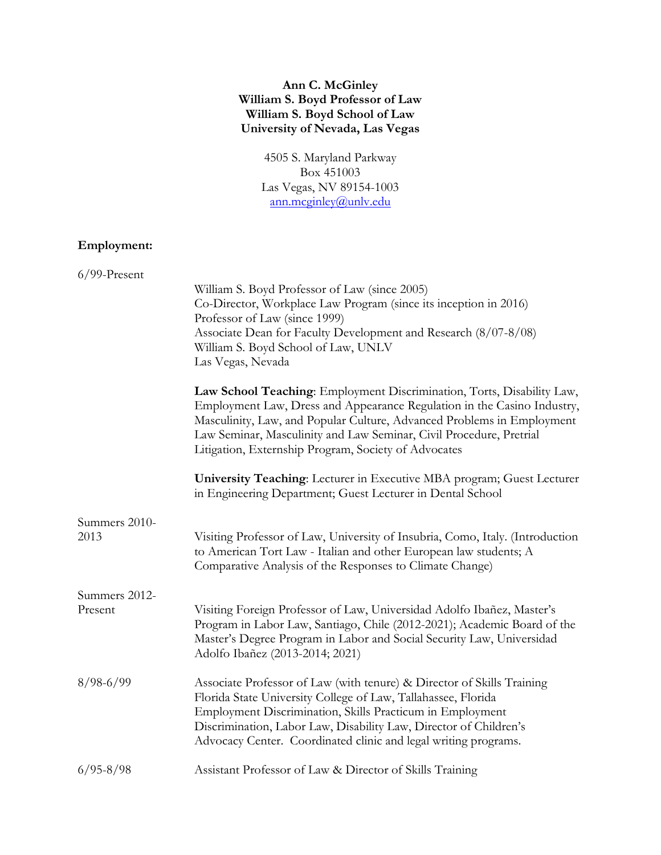## **Ann C. McGinley William S. Boyd Professor of Law William S. Boyd School of Law University of Nevada, Las Vegas**

4505 S. Maryland Parkway Box 451003 Las Vegas, NV 89154-1003 [ann.mcginley@unlv.edu](mailto:ann.mcginley@unlv.edu)

# **Employment:**

| $6/99$ -Present          |                                                                                                                                                                                                                                                                                                                                                            |
|--------------------------|------------------------------------------------------------------------------------------------------------------------------------------------------------------------------------------------------------------------------------------------------------------------------------------------------------------------------------------------------------|
|                          | William S. Boyd Professor of Law (since 2005)<br>Co-Director, Workplace Law Program (since its inception in 2016)<br>Professor of Law (since 1999)<br>Associate Dean for Faculty Development and Research (8/07-8/08)<br>William S. Boyd School of Law, UNLV<br>Las Vegas, Nevada                                                                          |
|                          | Law School Teaching: Employment Discrimination, Torts, Disability Law,<br>Employment Law, Dress and Appearance Regulation in the Casino Industry,<br>Masculinity, Law, and Popular Culture, Advanced Problems in Employment<br>Law Seminar, Masculinity and Law Seminar, Civil Procedure, Pretrial<br>Litigation, Externship Program, Society of Advocates |
|                          | University Teaching: Lecturer in Executive MBA program; Guest Lecturer<br>in Engineering Department; Guest Lecturer in Dental School                                                                                                                                                                                                                       |
| Summers 2010-<br>2013    | Visiting Professor of Law, University of Insubria, Como, Italy. (Introduction<br>to American Tort Law - Italian and other European law students; A<br>Comparative Analysis of the Responses to Climate Change)                                                                                                                                             |
| Summers 2012-<br>Present | Visiting Foreign Professor of Law, Universidad Adolfo Ibañez, Master's<br>Program in Labor Law, Santiago, Chile (2012-2021); Academic Board of the<br>Master's Degree Program in Labor and Social Security Law, Universidad<br>Adolfo Ibañez (2013-2014; 2021)                                                                                             |
| $8/98 - 6/99$            | Associate Professor of Law (with tenure) & Director of Skills Training<br>Florida State University College of Law, Tallahassee, Florida<br>Employment Discrimination, Skills Practicum in Employment<br>Discrimination, Labor Law, Disability Law, Director of Children's<br>Advocacy Center. Coordinated clinic and legal writing programs.               |
| $6/95 - 8/98$            | Assistant Professor of Law & Director of Skills Training                                                                                                                                                                                                                                                                                                   |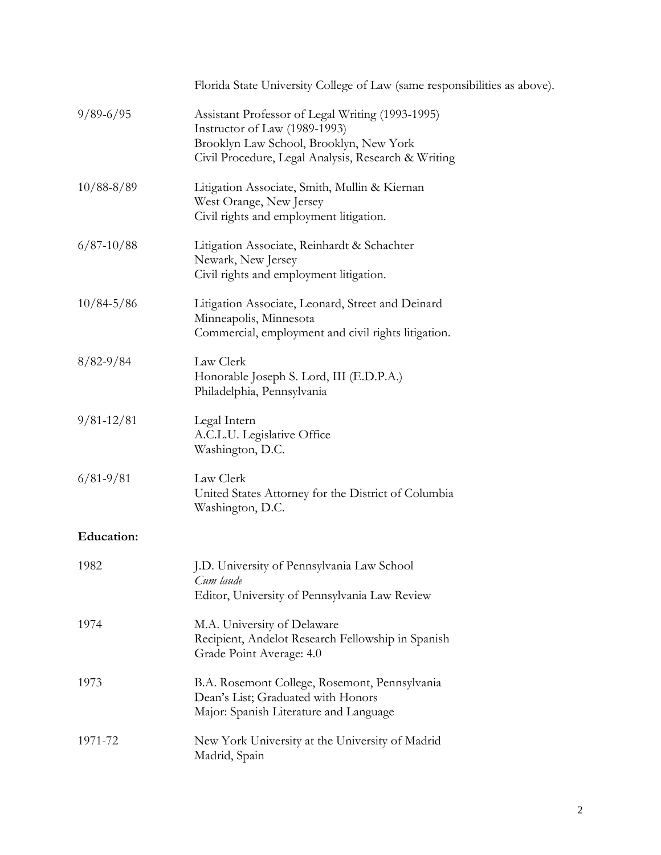|                   | Florida State University College of Law (same responsibilities as above).                                                                                                           |
|-------------------|-------------------------------------------------------------------------------------------------------------------------------------------------------------------------------------|
| $9/89 - 6/95$     | Assistant Professor of Legal Writing (1993-1995)<br>Instructor of Law (1989-1993)<br>Brooklyn Law School, Brooklyn, New York<br>Civil Procedure, Legal Analysis, Research & Writing |
| $10/88 - 8/89$    | Litigation Associate, Smith, Mullin & Kiernan<br>West Orange, New Jersey<br>Civil rights and employment litigation.                                                                 |
| $6/87 - 10/88$    | Litigation Associate, Reinhardt & Schachter<br>Newark, New Jersey<br>Civil rights and employment litigation.                                                                        |
| $10/84 - 5/86$    | Litigation Associate, Leonard, Street and Deinard<br>Minneapolis, Minnesota<br>Commercial, employment and civil rights litigation.                                                  |
| $8/82 - 9/84$     | Law Clerk<br>Honorable Joseph S. Lord, III (E.D.P.A.)<br>Philadelphia, Pennsylvania                                                                                                 |
| $9/81 - 12/81$    | Legal Intern<br>A.C.L.U. Legislative Office<br>Washington, D.C.                                                                                                                     |
| $6/81 - 9/81$     | Law Clerk<br>United States Attorney for the District of Columbia<br>Washington, D.C.                                                                                                |
| <b>Education:</b> |                                                                                                                                                                                     |
| 1982              | J.D. University of Pennsylvania Law School<br>Cum laude<br>Editor, University of Pennsylvania Law Review                                                                            |
| 1974              | M.A. University of Delaware<br>Recipient, Andelot Research Fellowship in Spanish<br>Grade Point Average: 4.0                                                                        |
| 1973              | B.A. Rosemont College, Rosemont, Pennsylvania<br>Dean's List; Graduated with Honors<br>Major: Spanish Literature and Language                                                       |
| 1971-72           | New York University at the University of Madrid<br>Madrid, Spain                                                                                                                    |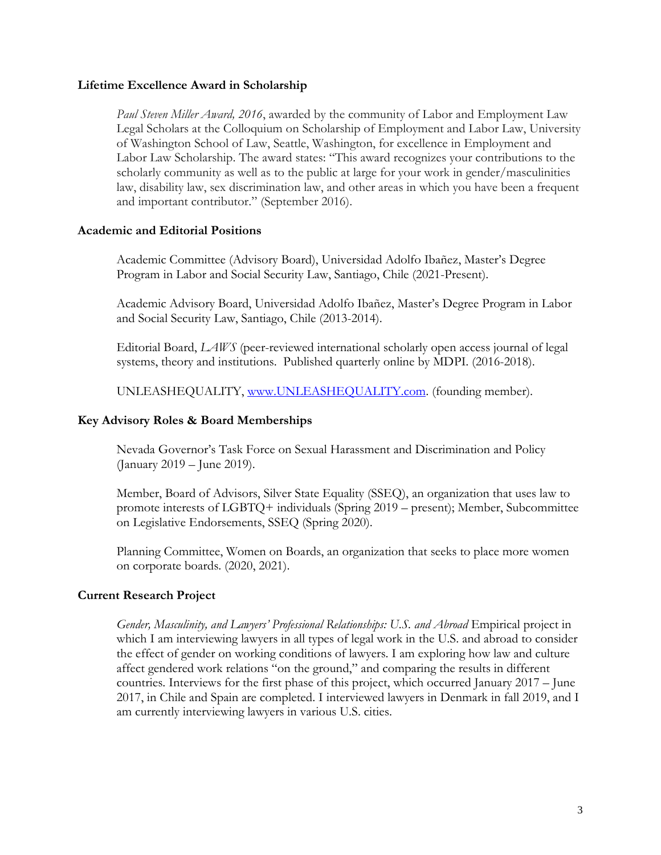#### **Lifetime Excellence Award in Scholarship**

*Paul Steven Miller Award, 2016*, awarded by the community of Labor and Employment Law Legal Scholars at the Colloquium on Scholarship of Employment and Labor Law, University of Washington School of Law, Seattle, Washington, for excellence in Employment and Labor Law Scholarship. The award states: "This award recognizes your contributions to the scholarly community as well as to the public at large for your work in gender/masculinities law, disability law, sex discrimination law, and other areas in which you have been a frequent and important contributor." (September 2016).

### **Academic and Editorial Positions**

Academic Committee (Advisory Board), Universidad Adolfo Ibañez, Master's Degree Program in Labor and Social Security Law, Santiago, Chile (2021-Present).

Academic Advisory Board, Universidad Adolfo Ibañez, Master's Degree Program in Labor and Social Security Law, Santiago, Chile (2013-2014).

Editorial Board, *LAWS* (peer-reviewed international scholarly open access journal of legal systems, theory and institutions. Published quarterly online by MDPI. (2016-2018).

UNLEASHEQUALITY, [www.UNLEASHEQUALITY.com.](http://www.unleashequality.com/) (founding member).

#### **Key Advisory Roles & Board Memberships**

Nevada Governor's Task Force on Sexual Harassment and Discrimination and Policy (January 2019 – June 2019).

Member, Board of Advisors, Silver State Equality (SSEQ), an organization that uses law to promote interests of LGBTQ+ individuals (Spring 2019 – present); Member, Subcommittee on Legislative Endorsements, SSEQ (Spring 2020).

Planning Committee, Women on Boards, an organization that seeks to place more women on corporate boards. (2020, 2021).

### **Current Research Project**

*Gender, Masculinity, and Lawyers' Professional Relationships: U.S. and Abroad* Empirical project in which I am interviewing lawyers in all types of legal work in the U.S. and abroad to consider the effect of gender on working conditions of lawyers. I am exploring how law and culture affect gendered work relations "on the ground," and comparing the results in different countries. Interviews for the first phase of this project, which occurred January 2017 – June 2017, in Chile and Spain are completed. I interviewed lawyers in Denmark in fall 2019, and I am currently interviewing lawyers in various U.S. cities.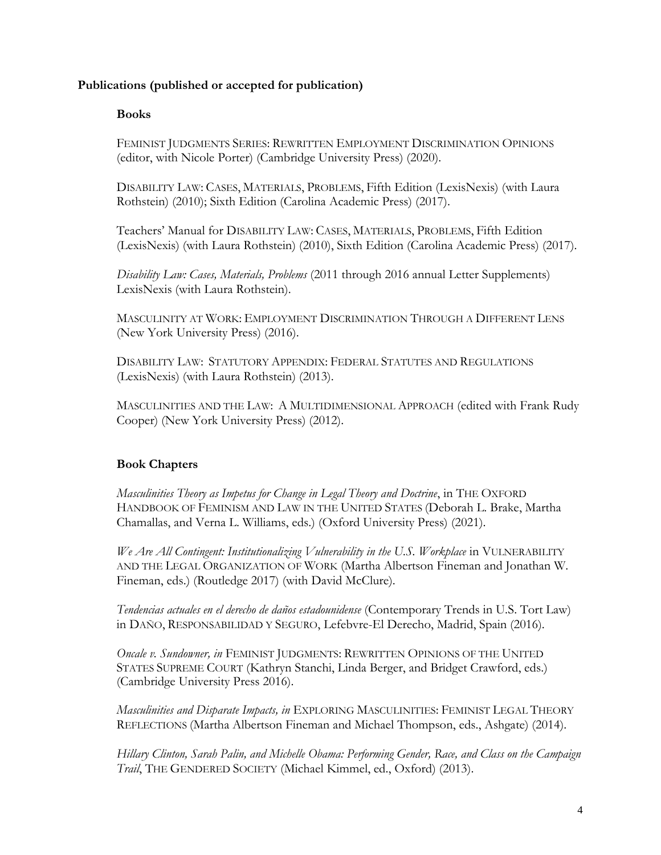## **Publications (published or accepted for publication)**

### **Books**

FEMINIST JUDGMENTS SERIES: REWRITTEN EMPLOYMENT DISCRIMINATION OPINIONS (editor, with Nicole Porter) (Cambridge University Press) (2020).

DISABILITY LAW: CASES, MATERIALS, PROBLEMS, Fifth Edition (LexisNexis) (with Laura Rothstein) (2010); Sixth Edition (Carolina Academic Press) (2017).

Teachers' Manual for DISABILITY LAW: CASES, MATERIALS, PROBLEMS, Fifth Edition (LexisNexis) (with Laura Rothstein) (2010), Sixth Edition (Carolina Academic Press) (2017).

*Disability Law: Cases, Materials, Problems* (2011 through 2016 annual Letter Supplements) LexisNexis (with Laura Rothstein).

MASCULINITY AT WORK: EMPLOYMENT DISCRIMINATION THROUGH A DIFFERENT LENS (New York University Press) (2016).

DISABILITY LAW: STATUTORY APPENDIX: FEDERAL STATUTES AND REGULATIONS (LexisNexis) (with Laura Rothstein) (2013).

MASCULINITIES AND THE LAW: A MULTIDIMENSIONAL APPROACH (edited with Frank Rudy Cooper) (New York University Press) (2012).

## **Book Chapters**

*Masculinities Theory as Impetus for Change in Legal Theory and Doctrine*, in THE OXFORD HANDBOOK OF FEMINISM AND LAW IN THE UNITED STATES (Deborah L. Brake, Martha Chamallas, and Verna L. Williams, eds.) (Oxford University Press) (2021).

*We Are All Contingent: Institutionalizing Vulnerability in the U.S. Workplace* in VULNERABILITY AND THE LEGAL ORGANIZATION OF WORK (Martha Albertson Fineman and Jonathan W. Fineman, eds.) (Routledge 2017) (with David McClure).

*Tendencias actuales en el derecho de daños estadounidense* (Contemporary Trends in U.S. Tort Law) in DAÑO, RESPONSABILIDAD Y SEGURO, Lefebvre-El Derecho, Madrid, Spain (2016).

*Oncale v. Sundowner, in* FEMINIST JUDGMENTS: REWRITTEN OPINIONS OF THE UNITED STATES SUPREME COURT (Kathryn Stanchi, Linda Berger, and Bridget Crawford, eds.) (Cambridge University Press 2016).

*Masculinities and Disparate Impacts, in* EXPLORING MASCULINITIES: FEMINIST LEGAL THEORY REFLECTIONS (Martha Albertson Fineman and Michael Thompson, eds., Ashgate) (2014).

*Hillary Clinton, Sarah Palin, and Michelle Obama: Performing Gender, Race, and Class on the Campaign Trail*, THE GENDERED SOCIETY (Michael Kimmel, ed., Oxford) (2013).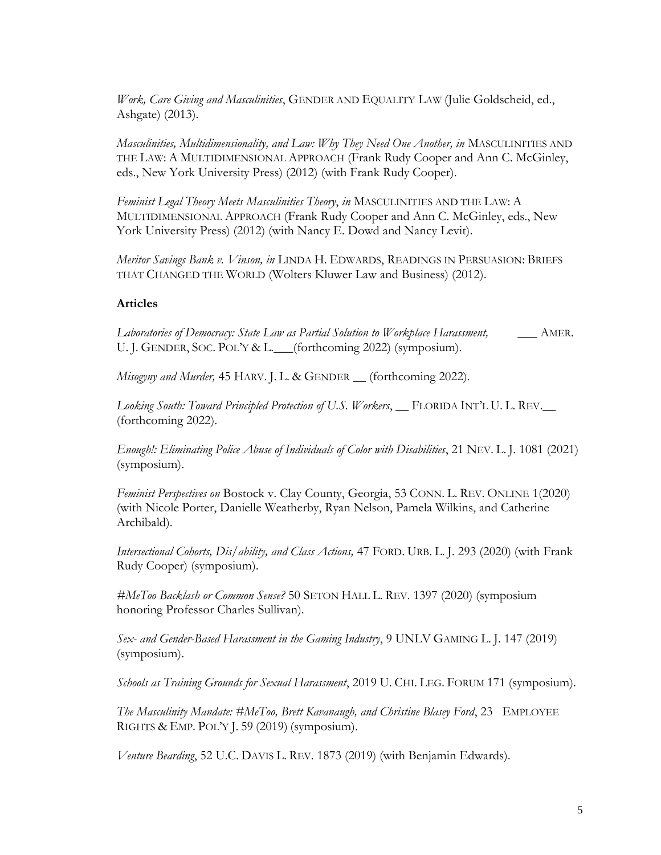*Work, Care Giving and Masculinities*, GENDER AND EQUALITY LAW (Julie Goldscheid, ed., Ashgate) (2013).

*Masculinities, Multidimensionality, and Law: Why They Need One Another, in* MASCULINITIES AND THE LAW: A MULTIDIMENSIONAL APPROACH (Frank Rudy Cooper and Ann C. McGinley, eds., New York University Press) (2012) (with Frank Rudy Cooper).

*Feminist Legal Theory Meets Masculinities Theory*, *in* MASCULINITIES AND THE LAW: A MULTIDIMENSIONAL APPROACH (Frank Rudy Cooper and Ann C. McGinley, eds., New York University Press) (2012) (with Nancy E. Dowd and Nancy Levit).

*Meritor Savings Bank v. Vinson, in* LINDA H. EDWARDS, READINGS IN PERSUASION: BRIEFS THAT CHANGED THE WORLD (Wolters Kluwer Law and Business) (2012).

## **Articles**

*Laboratories of Democracy: State Law as Partial Solution to Workplace Harassment,* \_\_\_ AMER. U. J. GENDER, SOC. POL'Y & L. \_\_\_(forthcoming 2022) (symposium).

*Misogyny and Murder,* 45 HARV. J. L. & GENDER \_\_ (forthcoming 2022).

*Looking South: Toward Principled Protection of U.S. Workers*, \_\_ FLORIDA INT'L U. L. REV.\_\_ (forthcoming 2022).

*Enough!: Eliminating Police Abuse of Individuals of Color with Disabilities*, 21 NEV. L. J. 1081 (2021) (symposium).

*Feminist Perspectives on* Bostock v. Clay County, Georgia, 53 CONN. L. REV. ONLINE 1(2020) (with Nicole Porter, Danielle Weatherby, Ryan Nelson, Pamela Wilkins, and Catherine Archibald).

*Intersectional Cohorts, Dis/ability, and Class Actions,* 47 FORD. URB. L. J. 293 (2020) (with Frank Rudy Cooper) (symposium).

*#MeToo Backlash or Common Sense?* 50 SETON HALL L. REV. 1397 (2020) (symposium honoring Professor Charles Sullivan).

*Sex- and Gender-Based Harassment in the Gaming Industry*, 9 UNLV GAMING L. J. 147 (2019) (symposium).

*Schools as Training Grounds for Sexual Harassment*, 2019 U. CHI. LEG. FORUM 171 (symposium).

*The Masculinity Mandate: #MeToo, Brett Kavanaugh, and Christine Blasey Ford*, 23 EMPLOYEE RIGHTS & EMP. POL'Y J. 59 (2019) (symposium).

*Venture Bearding*, 52 U.C. DAVIS L. REV. 1873 (2019) (with Benjamin Edwards).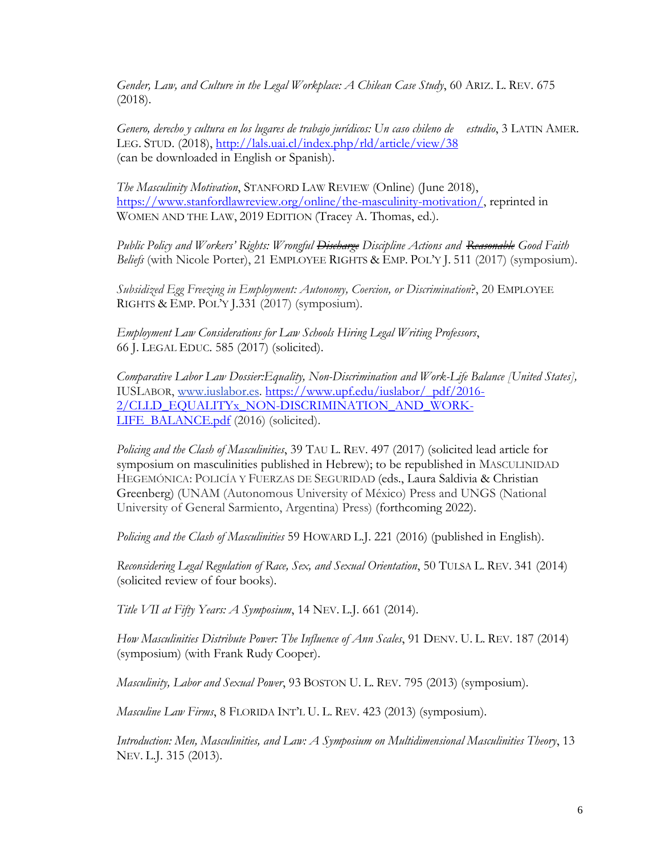*Gender, Law, and Culture in the Legal Workplace: A Chilean Case Study*, 60 ARIZ. L. REV. 675 (2018).

*Genero, derecho y cultura en los lugares de trabajo jurídicos: Un caso chileno de estudio*, 3 LATIN AMER. LEG. STUD. (2018),<http://lals.uai.cl/index.php/rld/article/view/38> (can be downloaded in English or Spanish).

*The Masculinity Motivation*, STANFORD LAW REVIEW (Online) (June 2018), [https://www.stanfordlawreview.org/online/the-masculinity-motivation/,](https://www.stanfordlawreview.org/online/the-masculinity-motivation/) reprinted in WOMEN AND THE LAW, 2019 EDITION (Tracey A. Thomas, ed.).

*Public Policy and Workers' Rights: Wrongful Discharge Discipline Actions and Reasonable Good Faith Beliefs* (with Nicole Porter), 21 EMPLOYEE RIGHTS & EMP. POL'Y J. 511 (2017) (symposium).

*Subsidized Egg Freezing in Employment: Autonomy, Coercion, or Discrimination*?, 20 EMPLOYEE RIGHTS & EMP. POL'Y J.331 (2017) (symposium).

*Employment Law Considerations for Law Schools Hiring Legal Writing Professors*, 66 J. LEGAL EDUC. 585 (2017) (solicited).

*Comparative Labor Law Dossier:Equality, Non-Discrimination and Work-Life Balance [United States],*  IUSLABOR, [www.iuslabor.es.](http://www.iuslabor.es/) [https://www.upf.edu/iuslabor/\\_pdf/2016-](https://www.upf.edu/iuslabor/_pdf/2016-2/CLLD_EQUALITYx_NON-DISCRIMINATION_AND_WORK-LIFE_BALANCE.pdf) [2/CLLD\\_EQUALITYx\\_NON-DISCRIMINATION\\_AND\\_WORK-](https://www.upf.edu/iuslabor/_pdf/2016-2/CLLD_EQUALITYx_NON-DISCRIMINATION_AND_WORK-LIFE_BALANCE.pdf)[LIFE\\_BALANCE.pdf](https://www.upf.edu/iuslabor/_pdf/2016-2/CLLD_EQUALITYx_NON-DISCRIMINATION_AND_WORK-LIFE_BALANCE.pdf) (2016) (solicited).

*Policing and the Clash of Masculinities*, 39 TAU L. REV. 497 (2017) (solicited lead article for symposium on masculinities published in Hebrew); to be republished in MASCULINIDAD HEGEMÓNICA: POLICÍA Y FUERZAS DE SEGURIDAD (eds., Laura Saldivia & Christian Greenberg) (UNAM (Autonomous University of México) Press and UNGS (National University of General Sarmiento, Argentina) Press) (forthcoming 2022).

*Policing and the Clash of Masculinities* 59 HOWARD L.J. 221 (2016) (published in English).

*Reconsidering Legal Regulation of Race, Sex, and Sexual Orientation*, 50 TULSA L. REV. 341 (2014) (solicited review of four books).

*Title VII at Fifty Years: A Symposium*, 14 NEV. L.J. 661 (2014).

*How Masculinities Distribute Power: The Influence of Ann Scales*, 91 DENV. U. L. REV. 187 (2014) (symposium) (with Frank Rudy Cooper).

*Masculinity, Labor and Sexual Power*, 93 BOSTON U. L. REV. 795 (2013) (symposium).

*Masculine Law Firms*, 8 FLORIDA INT'L U. L. REV. 423 (2013) (symposium).

*Introduction: Men, Masculinities, and Law: A Symposium on Multidimensional Masculinities Theory*, 13 NEV. L.J. 315 (2013).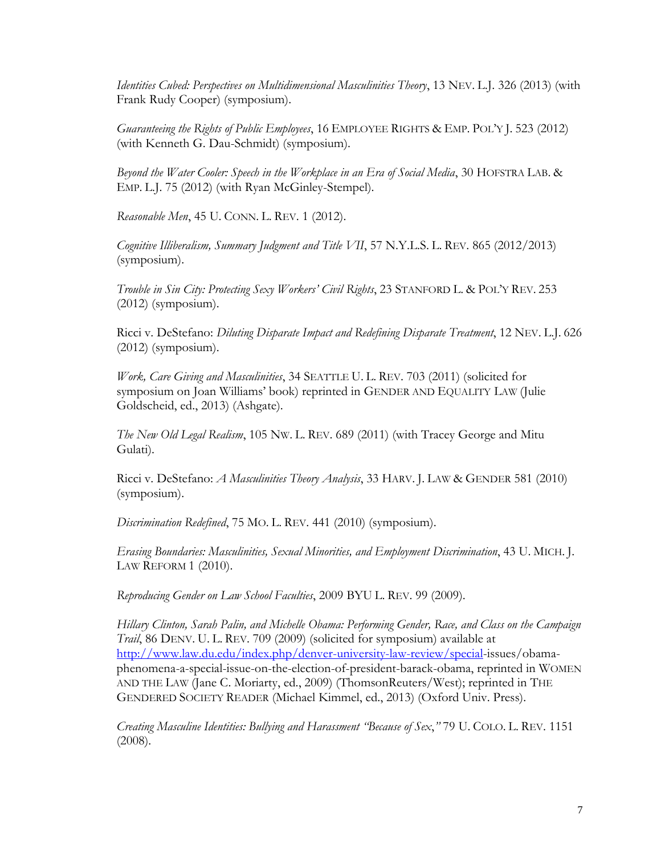*Identities Cubed: Perspectives on Multidimensional Masculinities Theory*, 13 NEV. L.J. 326 (2013) (with Frank Rudy Cooper) (symposium).

*Guaranteeing the Rights of Public Employees*, 16 EMPLOYEE RIGHTS & EMP. POL'Y J. 523 (2012) (with Kenneth G. Dau-Schmidt) (symposium).

*Beyond the Water Cooler: Speech in the Workplace in an Era of Social Media*, 30 HOFSTRA LAB. & EMP. L.J. 75 (2012) (with Ryan McGinley-Stempel).

*Reasonable Men*, 45 U. CONN. L. REV. 1 (2012).

*Cognitive Illiberalism, Summary Judgment and Title VII*, 57 N.Y.L.S. L. REV. 865 (2012/2013) (symposium).

*Trouble in Sin City: Protecting Sexy Workers' Civil Rights*, 23 STANFORD L. & POL'Y REV. 253  $(2012)$  (symposium).

Ricci v. DeStefano: *Diluting Disparate Impact and Redefining Disparate Treatment*, 12 NEV. L.J. 626 (2012) (symposium).

*Work, Care Giving and Masculinities*, 34 SEATTLE U. L. REV. 703 (2011) (solicited for symposium on Joan Williams' book) reprinted in GENDER AND EQUALITY LAW (Julie Goldscheid, ed., 2013) (Ashgate).

*The New Old Legal Realism*, 105 NW. L. REV. 689 (2011) (with Tracey George and Mitu Gulati).

Ricci v. DeStefano: *A Masculinities Theory Analysis*, 33 HARV. J. LAW & GENDER 581 (2010) (symposium).

*Discrimination Redefined*, 75 MO. L. REV. 441 (2010) (symposium).

*Erasing Boundaries: Masculinities, Sexual Minorities, and Employment Discrimination*, 43 U. MICH. J. LAW REFORM 1 (2010).

*Reproducing Gender on Law School Faculties*, 2009 BYU L. REV. 99 (2009).

*Hillary Clinton, Sarah Palin, and Michelle Obama: Performing Gender, Race, and Class on the Campaign Trail*, 86 DENV. U. L. REV. 709 (2009) (solicited for symposium) available at [http://www.law.du.edu/index.php/denver-university-law-review/special-](http://www.law.du.edu/index.php/denver-university-law-review/special)issues/obamaphenomena-a-special-issue-on-the-election-of-president-barack-obama, reprinted in WOMEN AND THE LAW (Jane C. Moriarty, ed., 2009) (ThomsonReuters/West); reprinted in THE GENDERED SOCIETY READER (Michael Kimmel, ed., 2013) (Oxford Univ. Press).

*Creating Masculine Identities: Bullying and Harassment "Because of Sex*,*"* 79 U. COLO. L. REV. 1151 (2008).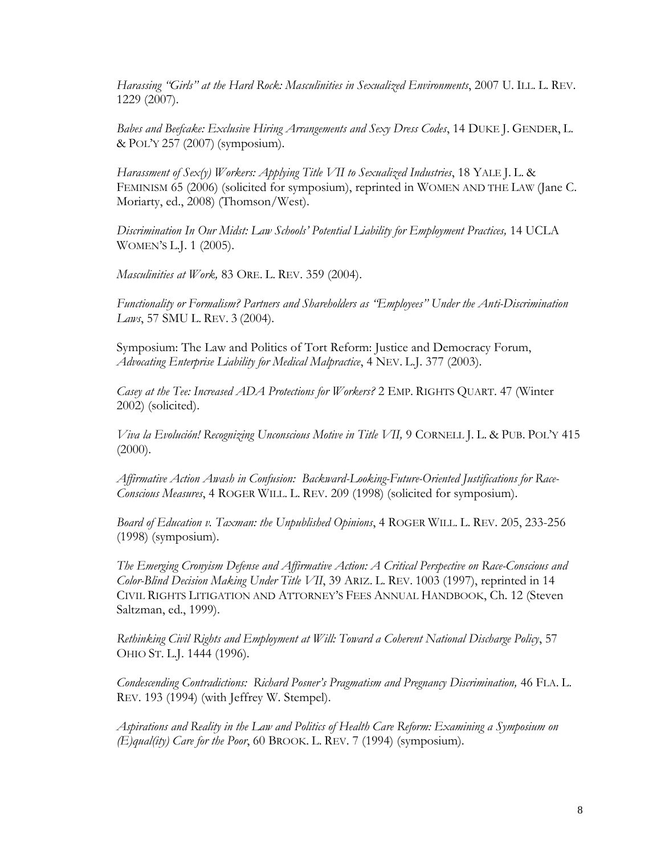*Harassing "Girls" at the Hard Rock: Masculinities in Sexualized Environments*, 2007 U. ILL. L. REV. 1229 (2007).

*Babes and Beefcake: Exclusive Hiring Arrangements and Sexy Dress Codes*, 14 DUKE J. GENDER, L. & POL'Y 257 (2007) (symposium).

*Harassment of Sex(y) Workers: Applying Title VII to Sexualized Industries*, 18 YALE J. L. & FEMINISM 65 (2006) (solicited for symposium), reprinted in WOMEN AND THE LAW (Jane C. Moriarty, ed., 2008) (Thomson/West).

*Discrimination In Our Midst: Law Schools' Potential Liability for Employment Practices,* 14 UCLA WOMEN'S L.J. 1 (2005).

*Masculinities at Work,* 83 ORE. L. REV. 359 (2004).

*Functionality or Formalism? Partners and Shareholders as "Employees" Under the Anti-Discrimination Laws*, 57 SMU L. REV. 3 (2004).

Symposium: The Law and Politics of Tort Reform: Justice and Democracy Forum, *Advocating Enterprise Liability for Medical Malpractice*, 4 NEV. L.J. 377 (2003).

*Casey at the Tee: Increased ADA Protections for Workers?* 2 EMP. RIGHTS QUART. 47 (Winter 2002) (solicited).

*Viva la Evolución! Recognizing Unconscious Motive in Title VII,* 9 CORNELL J. L. & PUB. POL'Y 415  $(2000).$ 

*Affirmative Action Awash in Confusion: Backward-Looking-Future-Oriented Justifications for Race-Conscious Measures*, 4 ROGER WILL. L. REV. 209 (1998) (solicited for symposium).

*Board of Education v. Taxman: the Unpublished Opinions*, 4 ROGER WILL. L. REV. 205, 233-256 (1998) (symposium).

*The Emerging Cronyism Defense and Affirmative Action: A Critical Perspective on Race-Conscious and Color-Blind Decision Making Under Title VII*, 39 ARIZ. L. REV. 1003 (1997), reprinted in 14 CIVIL RIGHTS LITIGATION AND ATTORNEY'S FEES ANNUAL HANDBOOK, Ch. 12 (Steven Saltzman, ed., 1999).

*Rethinking Civil Rights and Employment at Will: Toward a Coherent National Discharge Policy*, 57 OHIO ST. L.J. 1444 (1996).

*Condescending Contradictions: Richard Posner's Pragmatism and Pregnancy Discrimination,* 46 FLA. L. REV. 193 (1994) (with Jeffrey W. Stempel).

*Aspirations and Reality in the Law and Politics of Health Care Reform: Examining a Symposium on (E)qual(ity) Care for the Poor*, 60 BROOK. L. REV. 7 (1994) (symposium).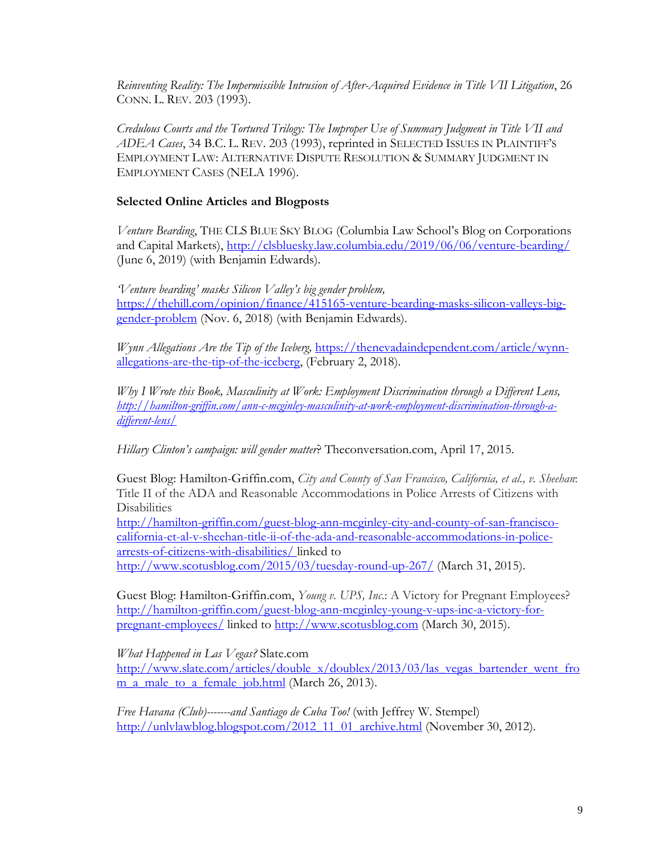*Reinventing Reality: The Impermissible Intrusion of After-Acquired Evidence in Title VII Litigation*, 26 CONN. L. REV. 203 (1993).

*Credulous Courts and the Tortured Trilogy: The Improper Use of Summary Judgment in Title VII and ADEA Cases*, 34 B.C. L. REV. 203 (1993), reprinted in SELECTED ISSUES IN PLAINTIFF'S EMPLOYMENT LAW: ALTERNATIVE DISPUTE RESOLUTION & SUMMARY JUDGMENT IN EMPLOYMENT CASES (NELA 1996).

## **Selected Online Articles and Blogposts**

*Venture Bearding*, THE CLS BLUE SKY BLOG (Columbia Law School's Blog on Corporations and Capital Markets),<http://clsbluesky.law.columbia.edu/2019/06/06/venture-bearding/> (June 6, 2019) (with Benjamin Edwards).

*'Venture bearding' masks Silicon Valley's big gender problem,*  [https://thehill.com/opinion/finance/415165-venture-bearding-masks-silicon-valleys-big](https://thehill.com/opinion/finance/415165-venture-bearding-masks-silicon-valleys-big-gender-problem)[gender-problem](https://thehill.com/opinion/finance/415165-venture-bearding-masks-silicon-valleys-big-gender-problem) (Nov. 6, 2018) (with Benjamin Edwards).

*Wynn Allegations Are the Tip of the Iceberg,* [https://thenevadaindependent.com/article/wynn](https://thenevadaindependent.com/article/wynn-allegations-are-the-tip-of-the-iceberg)[allegations-are-the-tip-of-the-iceberg,](https://thenevadaindependent.com/article/wynn-allegations-are-the-tip-of-the-iceberg) (February 2, 2018).

*Why I Wrote this Book, Masculinity at Work: Employment Discrimination through a Different Lens, [http://hamilton-griffin.com/ann-c-mcginley-masculinity-at-work-employment-discrimination-through-a](http://hamilton-griffin.com/ann-c-mcginley-masculinity-at-work-employment-discrimination-through-a-different-lens/)[different-lens/](http://hamilton-griffin.com/ann-c-mcginley-masculinity-at-work-employment-discrimination-through-a-different-lens/)*

*Hillary Clinton's campaign: will gender matter*? Theconversation.com, April 17, 2015.

Guest Blog: Hamilton-Griffin.com, *City and County of San Francisco, California, et al., v. Sheehan*: Title II of the ADA and Reasonable Accommodations in Police Arrests of Citizens with **Disabilities** 

[http://hamilton-griffin.com/guest-blog-ann-mcginley-city-and-county-of-san-francisco](http://hamilton-griffin.com/guest-blog-ann-mcginley-city-and-county-of-san-francisco-california-et-al-v-sheehan-title-ii-of-the-ada-and-reasonable-accommodations-in-police-arrests-of-citizens-with-disabilities/)[california-et-al-v-sheehan-title-ii-of-the-ada-and-reasonable-accommodations-in-police](http://hamilton-griffin.com/guest-blog-ann-mcginley-city-and-county-of-san-francisco-california-et-al-v-sheehan-title-ii-of-the-ada-and-reasonable-accommodations-in-police-arrests-of-citizens-with-disabilities/)[arrests-of-citizens-with-disabilities/](http://hamilton-griffin.com/guest-blog-ann-mcginley-city-and-county-of-san-francisco-california-et-al-v-sheehan-title-ii-of-the-ada-and-reasonable-accommodations-in-police-arrests-of-citizens-with-disabilities/) linked to <http://www.scotusblog.com/2015/03/tuesday-round-up-267/> (March 31, 2015).

Guest Blog: Hamilton-Griffin.com, *Young v. UPS, Inc*.: A Victory for Pregnant Employees? [http://hamilton-griffin.com/guest-blog-ann-mcginley-young-v-ups-inc-a-victory-for](http://hamilton-griffin.com/guest-blog-ann-mcginley-young-v-ups-inc-a-victory-for-pregnant-employees/)[pregnant-employees/](http://hamilton-griffin.com/guest-blog-ann-mcginley-young-v-ups-inc-a-victory-for-pregnant-employees/) linked to [http://www.scotusblog.com](http://www.scotusblog.com/) (March 30, 2015).

*What Happened in Las Vegas?* Slate.com

[http://www.slate.com/articles/double\\_x/doublex/2013/03/las\\_vegas\\_bartender\\_went\\_fro](http://www.slate.com/articles/double_x/doublex/2013/03/las_vegas_bartender_went_from_a_male_to_a_female_job.html) [m\\_a\\_male\\_to\\_a\\_female\\_job.html](http://www.slate.com/articles/double_x/doublex/2013/03/las_vegas_bartender_went_from_a_male_to_a_female_job.html) (March 26, 2013).

*Free Havana (Club)-------and Santiago de Cuba Too!* (with Jeffrey W. Stempel) [http://unlvlawblog.blogspot.com/2012\\_11\\_01\\_archive.html](http://unlvlawblog.blogspot.com/2012_11_01_archive.html) (November 30, 2012).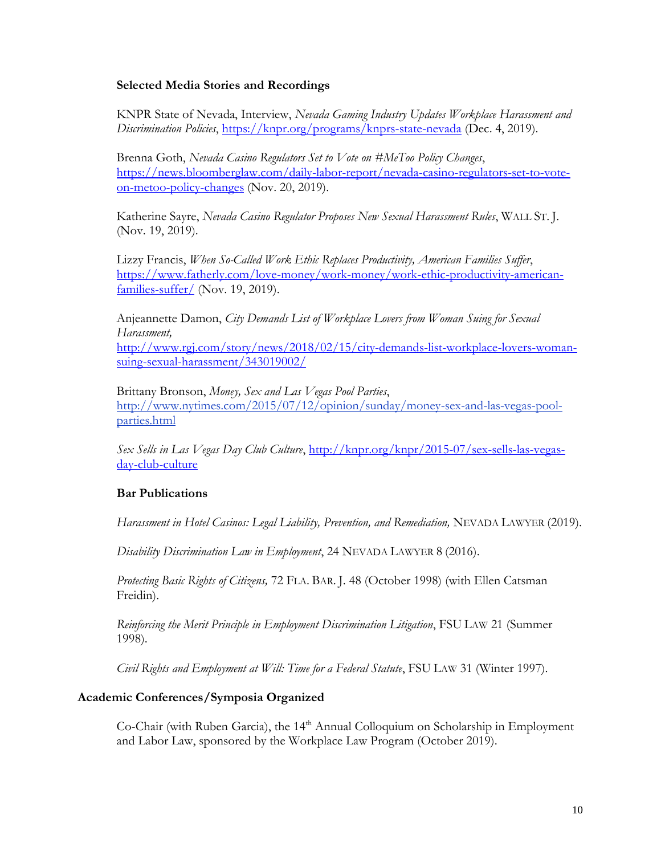### **Selected Media Stories and Recordings**

KNPR State of Nevada, Interview, *Nevada Gaming Industry Updates Workplace Harassment and Discrimination Policies*,<https://knpr.org/programs/knprs-state-nevada> (Dec. 4, 2019).

Brenna Goth, *Nevada Casino Regulators Set to Vote on #MeToo Policy Changes*, [https://news.bloomberglaw.com/daily-labor-report/nevada-casino-regulators-set-to-vote](https://news.bloomberglaw.com/daily-labor-report/nevada-casino-regulators-set-to-vote-on-metoo-policy-changes)[on-metoo-policy-changes](https://news.bloomberglaw.com/daily-labor-report/nevada-casino-regulators-set-to-vote-on-metoo-policy-changes) (Nov. 20, 2019).

Katherine Sayre, *Nevada Casino Regulator Proposes New Sexual Harassment Rules*, WALL ST. J. (Nov. 19, 2019).

Lizzy Francis, *When So-Called Work Ethic Replaces Productivity, American Families Suffer*, [https://www.fatherly.com/love-money/work-money/work-ethic-productivity-american](https://www.fatherly.com/love-money/work-money/work-ethic-productivity-american-families-suffer/)[families-suffer/](https://www.fatherly.com/love-money/work-money/work-ethic-productivity-american-families-suffer/) (Nov. 19, 2019).

Anjeannette Damon, *City Demands List of Workplace Lovers from Woman Suing for Sexual Harassment,*

[http://www.rgj.com/story/news/2018/02/15/city-demands-list-workplace-lovers-woman](http://www.rgj.com/story/news/2018/02/15/city-demands-list-workplace-lovers-woman-suing-sexual-harassment/343019002/)[suing-sexual-harassment/343019002/](http://www.rgj.com/story/news/2018/02/15/city-demands-list-workplace-lovers-woman-suing-sexual-harassment/343019002/)

Brittany Bronson, *Money, Sex and Las Vegas Pool Parties*, [http://www.nytimes.com/2015/07/12/opinion/sunday/money-sex-and-las-vegas-pool](http://www.nytimes.com/2015/07/12/opinion/sunday/money-sex-and-las-vegas-pool-parties.html)[parties.html](http://www.nytimes.com/2015/07/12/opinion/sunday/money-sex-and-las-vegas-pool-parties.html)

*Sex Sells in Las Vegas Day Club Culture*, [http://knpr.org/knpr/2015-07/sex-sells-las-vegas](http://knpr.org/knpr/2015-07/sex-sells-las-vegas-day-club-culture)[day-club-culture](http://knpr.org/knpr/2015-07/sex-sells-las-vegas-day-club-culture)

## **Bar Publications**

*Harassment in Hotel Casinos: Legal Liability, Prevention, and Remediation,* NEVADA LAWYER (2019).

*Disability Discrimination Law in Employment*, 24 NEVADA LAWYER 8 (2016).

*Protecting Basic Rights of Citizens,* 72 FLA. BAR. J. 48 (October 1998) (with Ellen Catsman Freidin).

*Reinforcing the Merit Principle in Employment Discrimination Litigation*, FSU LAW 21 (Summer 1998).

*Civil Rights and Employment at Will: Time for a Federal Statute*, FSU LAW 31 (Winter 1997).

## **Academic Conferences/Symposia Organized**

Co-Chair (with Ruben Garcia), the 14<sup>th</sup> Annual Colloquium on Scholarship in Employment and Labor Law, sponsored by the Workplace Law Program (October 2019).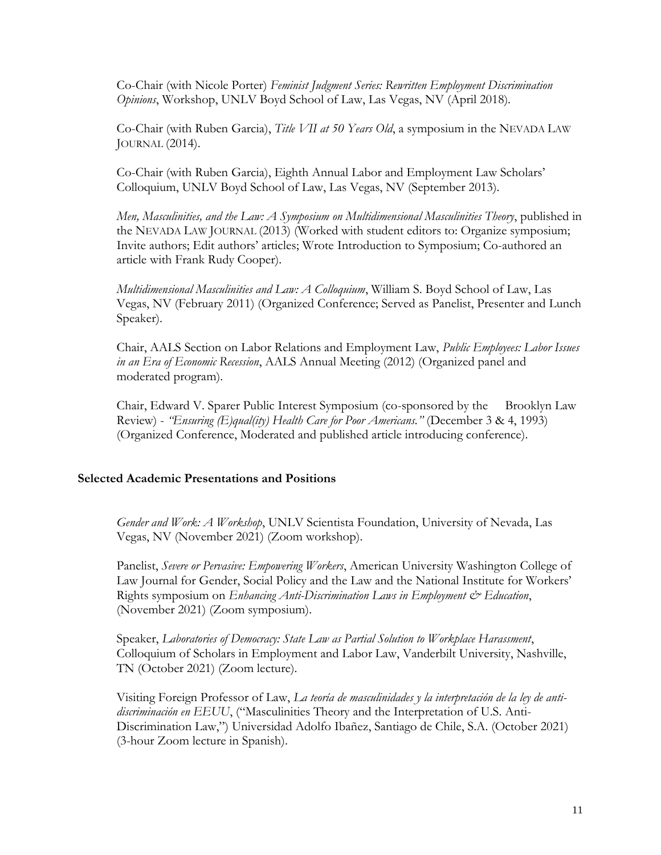Co-Chair (with Nicole Porter) *Feminist Judgment Series: Rewritten Employment Discrimination Opinions*, Workshop, UNLV Boyd School of Law, Las Vegas, NV (April 2018).

Co-Chair (with Ruben Garcia), *Title VII at 50 Years Old*, a symposium in the NEVADA LAW JOURNAL (2014).

Co-Chair (with Ruben Garcia), Eighth Annual Labor and Employment Law Scholars' Colloquium, UNLV Boyd School of Law, Las Vegas, NV (September 2013).

*Men, Masculinities, and the Law: A Symposium on Multidimensional Masculinities Theory*, published in the NEVADA LAW JOURNAL (2013) (Worked with student editors to: Organize symposium; Invite authors; Edit authors' articles; Wrote Introduction to Symposium; Co-authored an article with Frank Rudy Cooper).

*Multidimensional Masculinities and Law: A Colloquium*, William S. Boyd School of Law, Las Vegas, NV (February 2011) (Organized Conference; Served as Panelist, Presenter and Lunch Speaker).

Chair, AALS Section on Labor Relations and Employment Law, *Public Employees: Labor Issues in an Era of Economic Recession*, AALS Annual Meeting (2012) (Organized panel and moderated program).

Chair, Edward V. Sparer Public Interest Symposium (co-sponsored by the Brooklyn Law Review) - *"Ensuring (E)qual(ity) Health Care for Poor Americans."* (December 3 & 4, 1993) (Organized Conference, Moderated and published article introducing conference).

### **Selected Academic Presentations and Positions**

*Gender and Work: A Workshop*, UNLV Scientista Foundation, University of Nevada, Las Vegas, NV (November 2021) (Zoom workshop).

Panelist, *Severe or Pervasive: Empowering Workers*, American University Washington College of Law Journal for Gender, Social Policy and the Law and the National Institute for Workers' Rights symposium on *Enhancing Anti-Discrimination Laws in Employment & Education*, (November 2021) (Zoom symposium).

Speaker, *Laboratories of Democracy: State Law as Partial Solution to Workplace Harassment*, Colloquium of Scholars in Employment and Labor Law, Vanderbilt University, Nashville, TN (October 2021) (Zoom lecture).

Visiting Foreign Professor of Law, *La teoría de masculinidades y la interpretación de la ley de antidiscriminación en EEUU*, ("Masculinities Theory and the Interpretation of U.S. Anti-Discrimination Law,") Universidad Adolfo Ibañez, Santiago de Chile, S.A. (October 2021) (3-hour Zoom lecture in Spanish).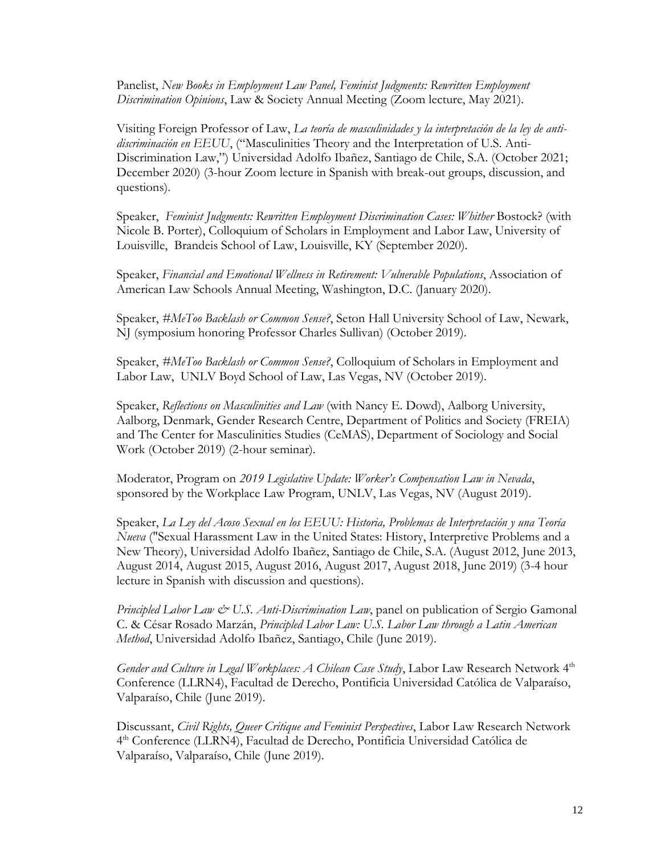Panelist, *New Books in Employment Law Panel, Feminist Judgments: Rewritten Employment Discrimination Opinions*, Law & Society Annual Meeting (Zoom lecture, May 2021).

Visiting Foreign Professor of Law, *La teoría de masculinidades y la interpretación de la ley de antidiscriminación en EEUU*, ("Masculinities Theory and the Interpretation of U.S. Anti-Discrimination Law,") Universidad Adolfo Ibañez, Santiago de Chile, S.A. (October 2021; December 2020) (3-hour Zoom lecture in Spanish with break-out groups, discussion, and questions).

Speaker, *Feminist Judgments: Rewritten Employment Discrimination Cases: Whither* Bostock? (with Nicole B. Porter), Colloquium of Scholars in Employment and Labor Law, University of Louisville, Brandeis School of Law, Louisville, KY (September 2020).

Speaker, *Financial and Emotional Wellness in Retirement: Vulnerable Populations*, Association of American Law Schools Annual Meeting, Washington, D.C. (January 2020).

Speaker, *#MeToo Backlash or Common Sense?*, Seton Hall University School of Law, Newark, NJ (symposium honoring Professor Charles Sullivan) (October 2019).

Speaker, *#MeToo Backlash or Common Sense?*, Colloquium of Scholars in Employment and Labor Law, UNLV Boyd School of Law, Las Vegas, NV (October 2019).

Speaker, *Reflections on Masculinities and Law* (with Nancy E. Dowd), Aalborg University, Aalborg, Denmark, Gender Research Centre, Department of Politics and Society (FREIA) and The Center for Masculinities Studies (CeMAS), Department of Sociology and Social Work (October 2019) (2-hour seminar).

Moderator, Program on *2019 Legislative Update: Worker's Compensation Law in Nevada*, sponsored by the Workplace Law Program, UNLV, Las Vegas, NV (August 2019).

Speaker, *La Ley del Acoso Sexual en los EEUU: Historia, Problemas de Interpretación y una Teoría Nueva* ("Sexual Harassment Law in the United States: History, Interpretive Problems and a New Theory), Universidad Adolfo Ibañez, Santiago de Chile, S.A. (August 2012, June 2013, August 2014, August 2015, August 2016, August 2017, August 2018, June 2019) (3-4 hour lecture in Spanish with discussion and questions).

*Principled Labor Law & U.S. Anti-Discrimination Law*, panel on publication of Sergio Gamonal C. & César Rosado Marzán, *Principled Labor Law: U.S. Labor Law through a Latin American Method*, Universidad Adolfo Ibañez, Santiago, Chile (June 2019).

*Gender and Culture in Legal Workplaces: A Chilean Case Study*, Labor Law Research Network 4<sup>th</sup> Conference (LLRN4), Facultad de Derecho, Pontificia Universidad Católica de Valparaíso, Valparaíso, Chile (June 2019).

Discussant, *Civil Rights, Queer Critique and Feminist Perspectives*, Labor Law Research Network 4 th Conference (LLRN4), Facultad de Derecho, Pontificia Universidad Católica de Valparaíso, Valparaíso, Chile (June 2019).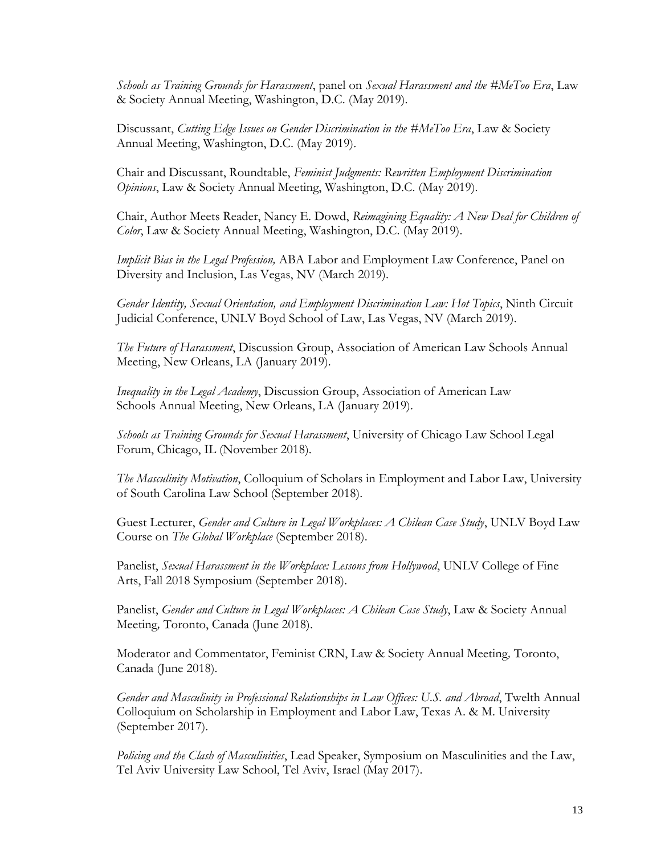*Schools as Training Grounds for Harassment*, panel on *Sexual Harassment and the #MeToo Era*, Law & Society Annual Meeting, Washington, D.C. (May 2019).

Discussant, *Cutting Edge Issues on Gender Discrimination in the #MeToo Era*, Law & Society Annual Meeting, Washington, D.C. (May 2019).

Chair and Discussant, Roundtable, *Feminist Judgments: Rewritten Employment Discrimination Opinions*, Law & Society Annual Meeting, Washington, D.C. (May 2019).

Chair, Author Meets Reader, Nancy E. Dowd, *Reimagining Equality: A New Deal for Children of Color*, Law & Society Annual Meeting, Washington, D.C. (May 2019).

*Implicit Bias in the Legal Profession,* ABA Labor and Employment Law Conference, Panel on Diversity and Inclusion, Las Vegas, NV (March 2019).

*Gender Identity, Sexual Orientation, and Employment Discrimination Law: Hot Topics*, Ninth Circuit Judicial Conference, UNLV Boyd School of Law, Las Vegas, NV (March 2019).

*The Future of Harassment*, Discussion Group, Association of American Law Schools Annual Meeting, New Orleans, LA (January 2019).

*Inequality in the Legal Academy*, Discussion Group, Association of American Law Schools Annual Meeting, New Orleans, LA (January 2019).

*Schools as Training Grounds for Sexual Harassment*, University of Chicago Law School Legal Forum, Chicago, IL (November 2018).

*The Masculinity Motivation*, Colloquium of Scholars in Employment and Labor Law, University of South Carolina Law School (September 2018).

Guest Lecturer, *Gender and Culture in Legal Workplaces: A Chilean Case Study*, UNLV Boyd Law Course on *The Global Workplace* (September 2018).

Panelist, *Sexual Harassment in the Workplace: Lessons from Hollywood*, UNLV College of Fine Arts, Fall 2018 Symposium (September 2018).

Panelist, *Gender and Culture in Legal Workplaces: A Chilean Case Study*, Law & Society Annual Meeting*,* Toronto, Canada (June 2018).

Moderator and Commentator, Feminist CRN, Law & Society Annual Meeting*,* Toronto, Canada (June 2018).

*Gender and Masculinity in Professional Relationships in Law Offices: U.S. and Abroad*, Twelth Annual Colloquium on Scholarship in Employment and Labor Law, Texas A. & M. University (September 2017).

*Policing and the Clash of Masculinities*, Lead Speaker, Symposium on Masculinities and the Law, Tel Aviv University Law School, Tel Aviv, Israel (May 2017).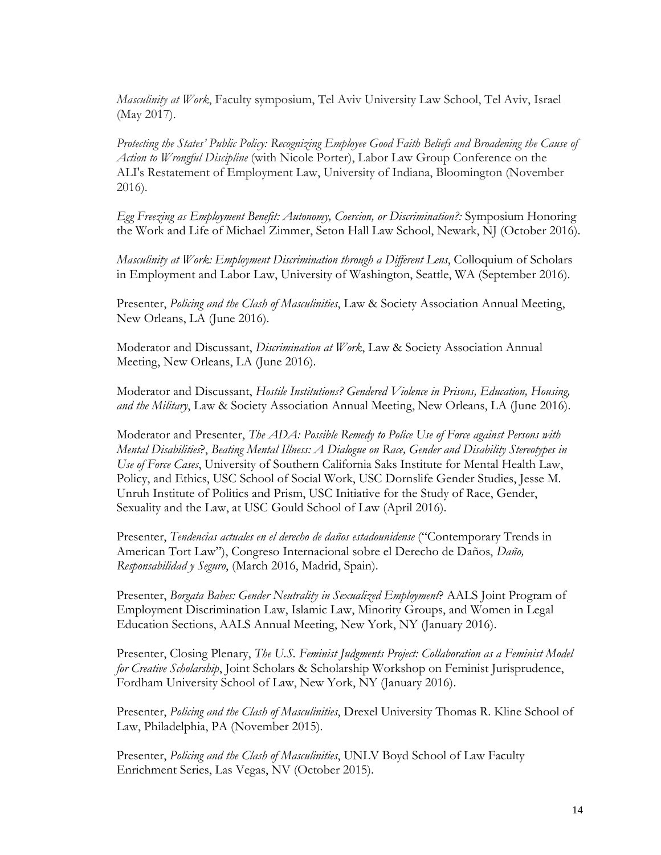*Masculinity at Work*, Faculty symposium, Tel Aviv University Law School, Tel Aviv, Israel (May 2017).

*Protecting the States' Public Policy: Recognizing Employee Good Faith Beliefs and Broadening the Cause of Action to Wrongful Discipline* (with Nicole Porter), Labor Law Group Conference on the ALI's Restatement of Employment Law, University of Indiana, Bloomington (November 2016).

*Egg Freezing as Employment Benefit: Autonomy, Coercion, or Discrimination?:* Symposium Honoring the Work and Life of Michael Zimmer, Seton Hall Law School, Newark, NJ (October 2016).

*Masculinity at Work: Employment Discrimination through a Different Lens*, Colloquium of Scholars in Employment and Labor Law, University of Washington, Seattle, WA (September 2016).

Presenter, *Policing and the Clash of Masculinities*, Law & Society Association Annual Meeting, New Orleans, LA (June 2016).

Moderator and Discussant, *Discrimination at Work*, Law & Society Association Annual Meeting, New Orleans, LA (June 2016).

Moderator and Discussant, *Hostile Institutions? Gendered Violence in Prisons, Education, Housing, and the Military*, Law & Society Association Annual Meeting, New Orleans, LA (June 2016).

Moderator and Presenter, *The ADA: Possible Remedy to Police Use of Force against Persons with Mental Disabilities*?, *Beating Mental Illness: A Dialogue on Race, Gender and Disability Stereotypes in Use of Force Cases*, University of Southern California Saks Institute for Mental Health Law, Policy, and Ethics, USC School of Social Work, USC Dornslife Gender Studies, Jesse M. Unruh Institute of Politics and Prism, USC Initiative for the Study of Race, Gender, Sexuality and the Law, at USC Gould School of Law (April 2016).

Presenter, *Tendencias actuales en el derecho de daños estadounidense* ("Contemporary Trends in American Tort Law"), Congreso Internacional sobre el Derecho de Daños, *Daño, Responsabilidad y Seguro*, (March 2016, Madrid, Spain).

Presenter, *Borgata Babes: Gender Neutrality in Sexualized Employment*? AALS Joint Program of Employment Discrimination Law, Islamic Law, Minority Groups, and Women in Legal Education Sections, AALS Annual Meeting, New York, NY (January 2016).

Presenter, Closing Plenary, *The U.S. Feminist Judgments Project: Collaboration as a Feminist Model for Creative Scholarship*, Joint Scholars & Scholarship Workshop on Feminist Jurisprudence, Fordham University School of Law, New York, NY (January 2016).

Presenter, *Policing and the Clash of Masculinities*, Drexel University Thomas R. Kline School of Law, Philadelphia, PA (November 2015).

Presenter, *Policing and the Clash of Masculinities*, UNLV Boyd School of Law Faculty Enrichment Series, Las Vegas, NV (October 2015).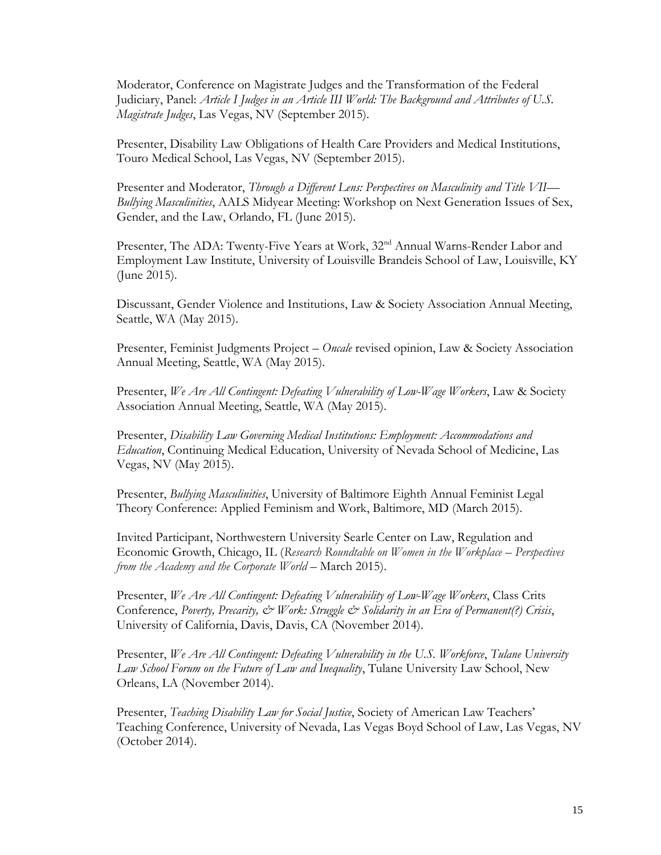Moderator, Conference on Magistrate Judges and the Transformation of the Federal Judiciary, Panel: *Article I Judges in an Article III World: The Background and Attributes of U.S. Magistrate Judges*, Las Vegas, NV (September 2015).

Presenter, Disability Law Obligations of Health Care Providers and Medical Institutions, Touro Medical School, Las Vegas, NV (September 2015).

Presenter and Moderator, *Through a Different Lens: Perspectives on Masculinity and Title VII— Bullying Masculinities*, AALS Midyear Meeting: Workshop on Next Generation Issues of Sex, Gender, and the Law, Orlando, FL (June 2015).

Presenter, The ADA: Twenty-Five Years at Work, 32<sup>nd</sup> Annual Warns-Render Labor and Employment Law Institute, University of Louisville Brandeis School of Law, Louisville, KY (June 2015).

Discussant, Gender Violence and Institutions, Law & Society Association Annual Meeting, Seattle, WA (May 2015).

Presenter, Feminist Judgments Project – *Oncale* revised opinion, Law & Society Association Annual Meeting, Seattle, WA (May 2015).

Presenter, *We Are All Contingent: Defeating Vulnerability of Low-Wage Workers*, Law & Society Association Annual Meeting, Seattle, WA (May 2015).

Presenter, *Disability Law Governing Medical Institutions: Employment: Accommodations and Education*, Continuing Medical Education, University of Nevada School of Medicine, Las Vegas, NV (May 2015).

Presenter, *Bullying Masculinities*, University of Baltimore Eighth Annual Feminist Legal Theory Conference: Applied Feminism and Work, Baltimore, MD (March 2015).

Invited Participant, Northwestern University Searle Center on Law, Regulation and Economic Growth, Chicago, IL (*Research Roundtable on Women in the Workplace – Perspectives from the Academy and the Corporate World* – March 2015).

Presenter, *We Are All Contingent: Defeating Vulnerability of Low-Wage Workers*, Class Crits Conference, *Poverty, Precarity, & Work: Struggle & Solidarity in an Era of Permanent(?) Crisis*, University of California, Davis, Davis, CA (November 2014).

Presenter, *We Are All Contingent: Defeating Vulnerability in the U.S. Workforce*, *Tulane University Law School Forum on the Future of Law and Inequality*, Tulane University Law School, New Orleans, LA (November 2014).

Presenter, *Teaching Disability Law for Social Justice*, Society of American Law Teachers' Teaching Conference, University of Nevada, Las Vegas Boyd School of Law, Las Vegas, NV (October 2014).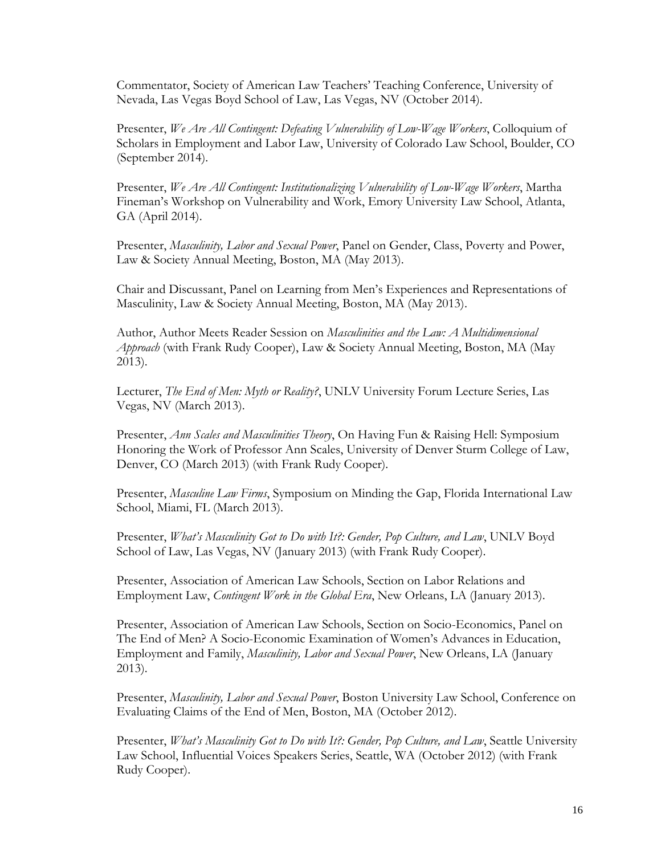Commentator, Society of American Law Teachers' Teaching Conference, University of Nevada, Las Vegas Boyd School of Law, Las Vegas, NV (October 2014).

Presenter, *We Are All Contingent: Defeating Vulnerability of Low-Wage Workers*, Colloquium of Scholars in Employment and Labor Law, University of Colorado Law School, Boulder, CO (September 2014).

Presenter, *We Are All Contingent: Institutionalizing Vulnerability of Low-Wage Workers*, Martha Fineman's Workshop on Vulnerability and Work, Emory University Law School, Atlanta, GA (April 2014).

Presenter, *Masculinity, Labor and Sexual Power*, Panel on Gender, Class, Poverty and Power, Law & Society Annual Meeting, Boston, MA (May 2013).

Chair and Discussant, Panel on Learning from Men's Experiences and Representations of Masculinity, Law & Society Annual Meeting, Boston, MA (May 2013).

Author, Author Meets Reader Session on *Masculinities and the Law: A Multidimensional Approach* (with Frank Rudy Cooper), Law & Society Annual Meeting, Boston, MA (May 2013).

Lecturer, *The End of Men: Myth or Reality?*, UNLV University Forum Lecture Series, Las Vegas, NV (March 2013).

Presenter, *Ann Scales and Masculinities Theory*, On Having Fun & Raising Hell: Symposium Honoring the Work of Professor Ann Scales, University of Denver Sturm College of Law, Denver, CO (March 2013) (with Frank Rudy Cooper).

Presenter, *Masculine Law Firms*, Symposium on Minding the Gap, Florida International Law School, Miami, FL (March 2013).

Presenter, *What's Masculinity Got to Do with It?: Gender, Pop Culture, and Law*, UNLV Boyd School of Law, Las Vegas, NV (January 2013) (with Frank Rudy Cooper).

Presenter, Association of American Law Schools, Section on Labor Relations and Employment Law, *Contingent Work in the Global Era*, New Orleans, LA (January 2013).

Presenter, Association of American Law Schools, Section on Socio-Economics, Panel on The End of Men? A Socio-Economic Examination of Women's Advances in Education, Employment and Family, *Masculinity, Labor and Sexual Power*, New Orleans, LA (January 2013).

Presenter, *Masculinity, Labor and Sexual Power*, Boston University Law School, Conference on Evaluating Claims of the End of Men, Boston, MA (October 2012).

Presenter, *What's Masculinity Got to Do with It?: Gender, Pop Culture, and Law*, Seattle University Law School, Influential Voices Speakers Series, Seattle, WA (October 2012) (with Frank Rudy Cooper).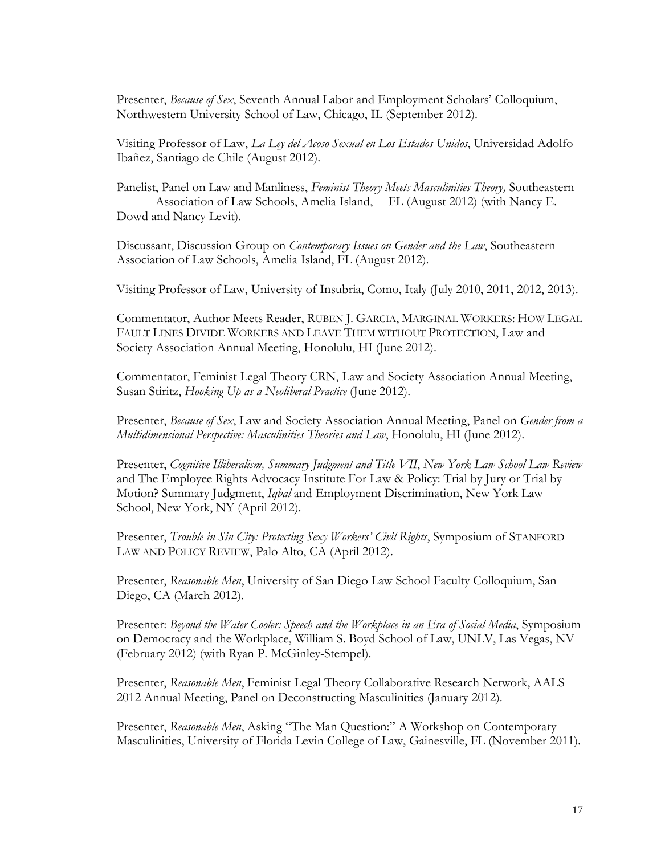Presenter, *Because of Sex*, Seventh Annual Labor and Employment Scholars' Colloquium, Northwestern University School of Law, Chicago, IL (September 2012).

Visiting Professor of Law, *La Ley del Acoso Sexual en Los Estados Unidos*, Universidad Adolfo Ibañez, Santiago de Chile (August 2012).

Panelist, Panel on Law and Manliness, *Feminist Theory Meets Masculinities Theory,* Southeastern Association of Law Schools, Amelia Island, FL (August 2012) (with Nancy E. Dowd and Nancy Levit).

Discussant, Discussion Group on *Contemporary Issues on Gender and the Law*, Southeastern Association of Law Schools, Amelia Island, FL (August 2012).

Visiting Professor of Law, University of Insubria, Como, Italy (July 2010, 2011, 2012, 2013).

Commentator, Author Meets Reader, RUBEN J. GARCIA, MARGINAL WORKERS: HOW LEGAL FAULT LINES DIVIDE WORKERS AND LEAVE THEM WITHOUT PROTECTION, Law and Society Association Annual Meeting, Honolulu, HI (June 2012).

Commentator, Feminist Legal Theory CRN, Law and Society Association Annual Meeting, Susan Stiritz, *Hooking Up as a Neoliberal Practice* (June 2012).

Presenter, *Because of Sex*, Law and Society Association Annual Meeting, Panel on *Gender from a Multidimensional Perspective: Masculinities Theories and Law*, Honolulu, HI (June 2012).

Presenter, *Cognitive Illiberalism, Summary Judgment and Title VII*, *New York Law School Law Review* and The Employee Rights Advocacy Institute For Law & Policy: Trial by Jury or Trial by Motion? Summary Judgment, *Iqbal* and Employment Discrimination, New York Law School, New York, NY (April 2012).

Presenter, *Trouble in Sin City: Protecting Sexy Workers' Civil Rights*, Symposium of STANFORD LAW AND POLICY REVIEW, Palo Alto, CA (April 2012).

Presenter, *Reasonable Men*, University of San Diego Law School Faculty Colloquium, San Diego, CA (March 2012).

Presenter: *Beyond the Water Cooler: Speech and the Workplace in an Era of Social Media*, Symposium on Democracy and the Workplace, William S. Boyd School of Law, UNLV, Las Vegas, NV (February 2012) (with Ryan P. McGinley-Stempel).

Presenter, *Reasonable Men*, Feminist Legal Theory Collaborative Research Network, AALS 2012 Annual Meeting, Panel on Deconstructing Masculinities (January 2012).

Presenter, *Reasonable Men*, Asking "The Man Question:" A Workshop on Contemporary Masculinities, University of Florida Levin College of Law, Gainesville, FL (November 2011).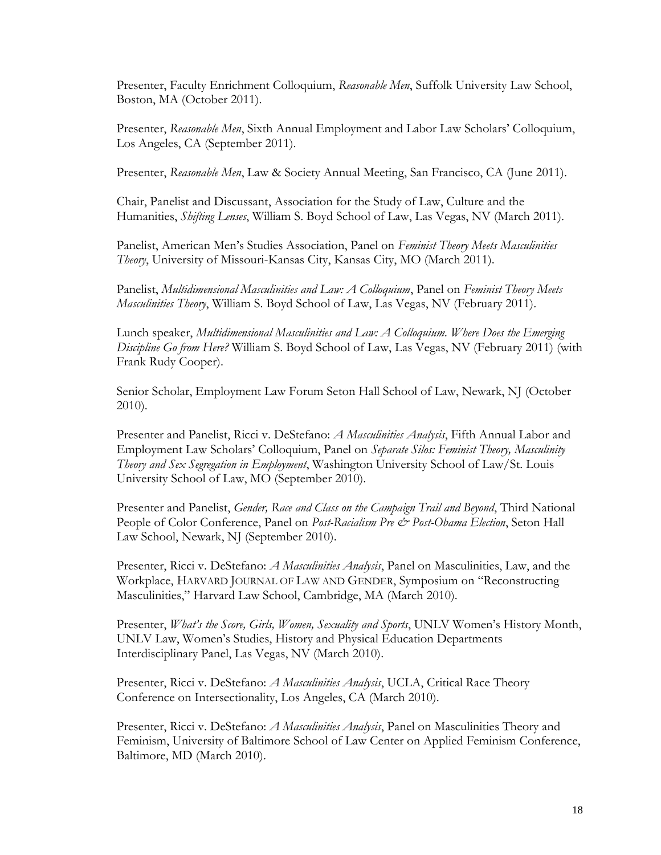Presenter, Faculty Enrichment Colloquium, *Reasonable Men*, Suffolk University Law School, Boston, MA (October 2011).

Presenter, *Reasonable Men*, Sixth Annual Employment and Labor Law Scholars' Colloquium, Los Angeles, CA (September 2011).

Presenter, *Reasonable Men*, Law & Society Annual Meeting, San Francisco, CA (June 2011).

Chair, Panelist and Discussant, Association for the Study of Law, Culture and the Humanities, *Shifting Lenses*, William S. Boyd School of Law, Las Vegas, NV (March 2011).

Panelist, American Men's Studies Association, Panel on *Feminist Theory Meets Masculinities Theory*, University of Missouri-Kansas City, Kansas City, MO (March 2011).

Panelist, *Multidimensional Masculinities and Law: A Colloquium*, Panel on *Feminist Theory Meets Masculinities Theory*, William S. Boyd School of Law, Las Vegas, NV (February 2011).

Lunch speaker, *Multidimensional Masculinities and Law: A Colloquium. Where Does the Emerging Discipline Go from Here?* William S. Boyd School of Law, Las Vegas, NV (February 2011) (with Frank Rudy Cooper).

Senior Scholar, Employment Law Forum Seton Hall School of Law, Newark, NJ (October 2010).

Presenter and Panelist, Ricci v. DeStefano: *A Masculinities Analysis*, Fifth Annual Labor and Employment Law Scholars' Colloquium, Panel on *Separate Silos: Feminist Theory, Masculinity Theory and Sex Segregation in Employment*, Washington University School of Law/St. Louis University School of Law, MO (September 2010).

Presenter and Panelist, *Gender, Race and Class on the Campaign Trail and Beyond*, Third National People of Color Conference, Panel on *Post-Racialism Pre & Post-Obama Election*, Seton Hall Law School, Newark, NJ (September 2010).

Presenter, Ricci v. DeStefano: *A Masculinities Analysis*, Panel on Masculinities, Law, and the Workplace, HARVARD JOURNAL OF LAW AND GENDER, Symposium on "Reconstructing Masculinities," Harvard Law School, Cambridge, MA (March 2010).

Presenter, *What's the Score, Girls, Women, Sexuality and Sports*, UNLV Women's History Month, UNLV Law, Women's Studies, History and Physical Education Departments Interdisciplinary Panel, Las Vegas, NV (March 2010).

Presenter, Ricci v. DeStefano: *A Masculinities Analysis*, UCLA, Critical Race Theory Conference on Intersectionality, Los Angeles, CA (March 2010).

Presenter, Ricci v. DeStefano: *A Masculinities Analysis*, Panel on Masculinities Theory and Feminism, University of Baltimore School of Law Center on Applied Feminism Conference, Baltimore, MD (March 2010).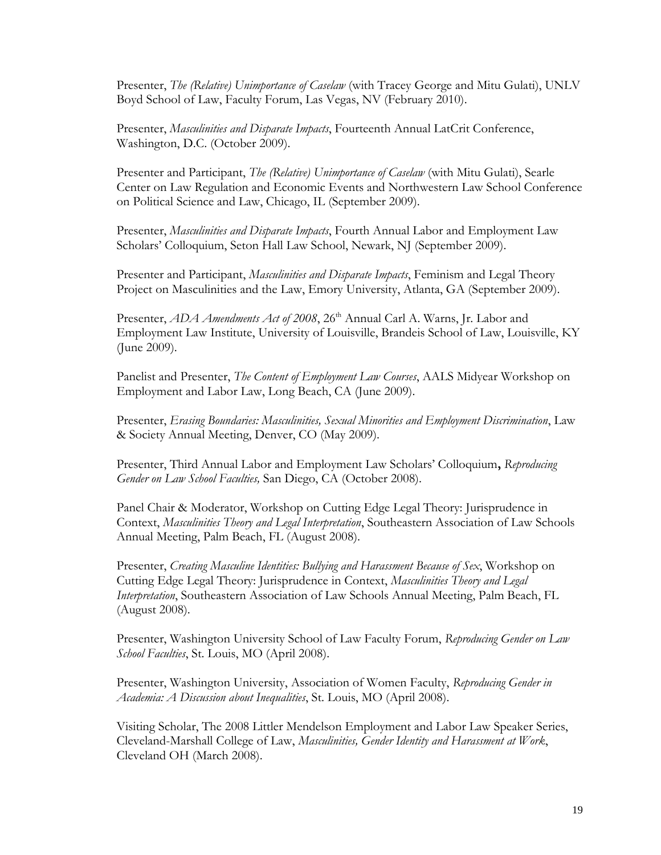Presenter, *The (Relative) Unimportance of Caselaw* (with Tracey George and Mitu Gulati), UNLV Boyd School of Law, Faculty Forum, Las Vegas, NV (February 2010).

Presenter, *Masculinities and Disparate Impacts*, Fourteenth Annual LatCrit Conference, Washington, D.C. (October 2009).

Presenter and Participant, *The (Relative) Unimportance of Caselaw* (with Mitu Gulati), Searle Center on Law Regulation and Economic Events and Northwestern Law School Conference on Political Science and Law, Chicago, IL (September 2009).

Presenter, *Masculinities and Disparate Impacts*, Fourth Annual Labor and Employment Law Scholars' Colloquium, Seton Hall Law School, Newark, NJ (September 2009).

Presenter and Participant, *Masculinities and Disparate Impacts*, Feminism and Legal Theory Project on Masculinities and the Law, Emory University, Atlanta, GA (September 2009).

Presenter, *ADA Amendments Act of 2008*, 26<sup>th</sup> Annual Carl A. Warns, Jr. Labor and Employment Law Institute, University of Louisville, Brandeis School of Law, Louisville, KY (June 2009).

Panelist and Presenter, *The Content of Employment Law Courses*, AALS Midyear Workshop on Employment and Labor Law, Long Beach, CA (June 2009).

Presenter, *Erasing Boundaries: Masculinities, Sexual Minorities and Employment Discrimination*, Law & Society Annual Meeting, Denver, CO (May 2009).

Presenter, Third Annual Labor and Employment Law Scholars' Colloquium**,** *Reproducing Gender on Law School Faculties,* San Diego, CA (October 2008).

Panel Chair & Moderator, Workshop on Cutting Edge Legal Theory: Jurisprudence in Context, *Masculinities Theory and Legal Interpretation*, Southeastern Association of Law Schools Annual Meeting, Palm Beach, FL (August 2008).

Presenter, *Creating Masculine Identities: Bullying and Harassment Because of Sex*, Workshop on Cutting Edge Legal Theory: Jurisprudence in Context, *Masculinities Theory and Legal Interpretation*, Southeastern Association of Law Schools Annual Meeting, Palm Beach, FL (August 2008).

Presenter, Washington University School of Law Faculty Forum, *Reproducing Gender on Law School Faculties*, St. Louis, MO (April 2008).

Presenter, Washington University, Association of Women Faculty, *Reproducing Gender in Academia: A Discussion about Inequalities*, St. Louis, MO (April 2008).

Visiting Scholar, The 2008 Littler Mendelson Employment and Labor Law Speaker Series, Cleveland-Marshall College of Law, *Masculinities, Gender Identity and Harassment at Work*, Cleveland OH (March 2008).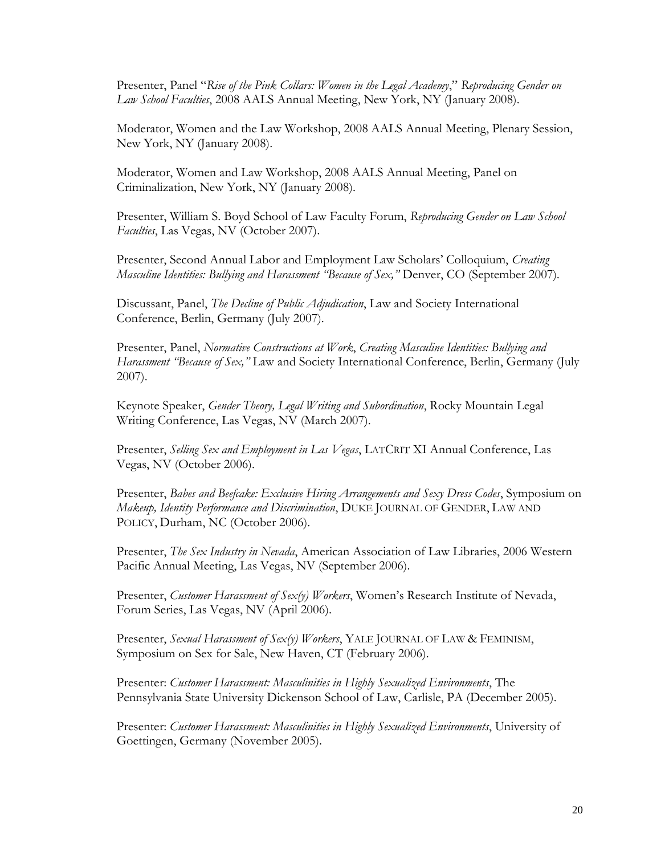Presenter, Panel "*Rise of the Pink Collars: Women in the Legal Academy*," *Reproducing Gender on Law School Faculties*, 2008 AALS Annual Meeting, New York, NY (January 2008).

Moderator, Women and the Law Workshop, 2008 AALS Annual Meeting, Plenary Session, New York, NY (January 2008).

Moderator, Women and Law Workshop, 2008 AALS Annual Meeting, Panel on Criminalization, New York, NY (January 2008).

Presenter, William S. Boyd School of Law Faculty Forum, *Reproducing Gender on Law School Faculties*, Las Vegas, NV (October 2007).

Presenter, Second Annual Labor and Employment Law Scholars' Colloquium, *Creating Masculine Identities: Bullying and Harassment "Because of Sex,"* Denver, CO (September 2007)*.*

Discussant, Panel, *The Decline of Public Adjudication*, Law and Society International Conference, Berlin, Germany (July 2007).

Presenter, Panel, *Normative Constructions at Work*, *Creating Masculine Identities: Bullying and Harassment "Because of Sex,"* Law and Society International Conference, Berlin, Germany (July 2007).

Keynote Speaker, *Gender Theory, Legal Writing and Subordination*, Rocky Mountain Legal Writing Conference, Las Vegas, NV (March 2007).

Presenter, *Selling Sex and Employment in Las Vegas*, LATCRIT XI Annual Conference, Las Vegas, NV (October 2006).

Presenter, *Babes and Beefcake: Exclusive Hiring Arrangements and Sexy Dress Codes*, Symposium on *Makeup, Identity Performance and Discrimination*, DUKE JOURNAL OF GENDER, LAW AND POLICY, Durham, NC (October 2006).

Presenter, *The Sex Industry in Nevada*, American Association of Law Libraries, 2006 Western Pacific Annual Meeting, Las Vegas, NV (September 2006).

Presenter, *Customer Harassment of Sex(y) Workers*, Women's Research Institute of Nevada, Forum Series, Las Vegas, NV (April 2006).

Presenter, *Sexual Harassment of Sex(y) Workers*, YALE JOURNAL OF LAW & FEMINISM, Symposium on Sex for Sale, New Haven, CT (February 2006).

Presenter: *Customer Harassment: Masculinities in Highly Sexualized Environments*, The Pennsylvania State University Dickenson School of Law, Carlisle, PA (December 2005).

Presenter: *Customer Harassment: Masculinities in Highly Sexualized Environments*, University of Goettingen, Germany (November 2005).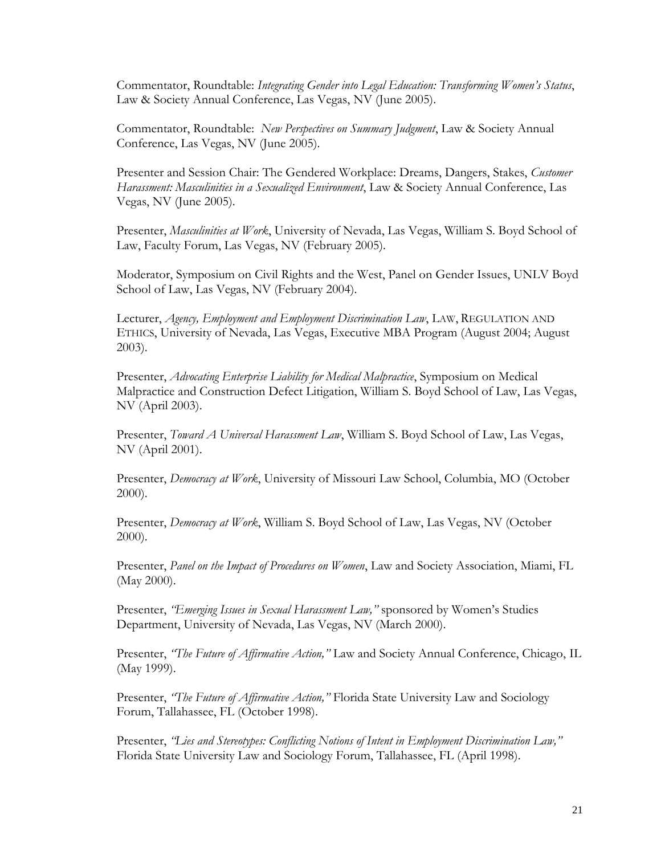Commentator, Roundtable: *Integrating Gender into Legal Education: Transforming Women's Status*, Law & Society Annual Conference, Las Vegas, NV (June 2005).

Commentator, Roundtable: *New Perspectives on Summary Judgment*, Law & Society Annual Conference, Las Vegas, NV (June 2005).

Presenter and Session Chair: The Gendered Workplace: Dreams, Dangers, Stakes, *Customer Harassment: Masculinities in a Sexualized Environment*, Law & Society Annual Conference, Las Vegas, NV (June 2005).

Presenter, *Masculinities at Work*, University of Nevada, Las Vegas, William S. Boyd School of Law, Faculty Forum, Las Vegas, NV (February 2005).

Moderator, Symposium on Civil Rights and the West, Panel on Gender Issues, UNLV Boyd School of Law, Las Vegas, NV (February 2004).

Lecturer, *Agency, Employment and Employment Discrimination Law*, LAW, REGULATION AND ETHICS, University of Nevada, Las Vegas, Executive MBA Program (August 2004; August 2003).

Presenter, *Advocating Enterprise Liability for Medical Malpractice*, Symposium on Medical Malpractice and Construction Defect Litigation, William S. Boyd School of Law, Las Vegas, NV (April 2003).

Presenter, *Toward A Universal Harassment Law*, William S. Boyd School of Law, Las Vegas, NV (April 2001).

Presenter, *Democracy at Work*, University of Missouri Law School, Columbia, MO (October 2000).

Presenter, *Democracy at Work*, William S. Boyd School of Law, Las Vegas, NV (October 2000).

Presenter, *Panel on the Impact of Procedures on Women*, Law and Society Association, Miami, FL (May 2000).

Presenter, *"Emerging Issues in Sexual Harassment Law,"* sponsored by Women's Studies Department, University of Nevada, Las Vegas, NV (March 2000).

Presenter, *"The Future of Affirmative Action,"* Law and Society Annual Conference, Chicago, IL (May 1999).

Presenter, *"The Future of Affirmative Action,"* Florida State University Law and Sociology Forum, Tallahassee, FL (October 1998).

Presenter, *"Lies and Stereotypes: Conflicting Notions of Intent in Employment Discrimination Law,"*  Florida State University Law and Sociology Forum, Tallahassee, FL (April 1998).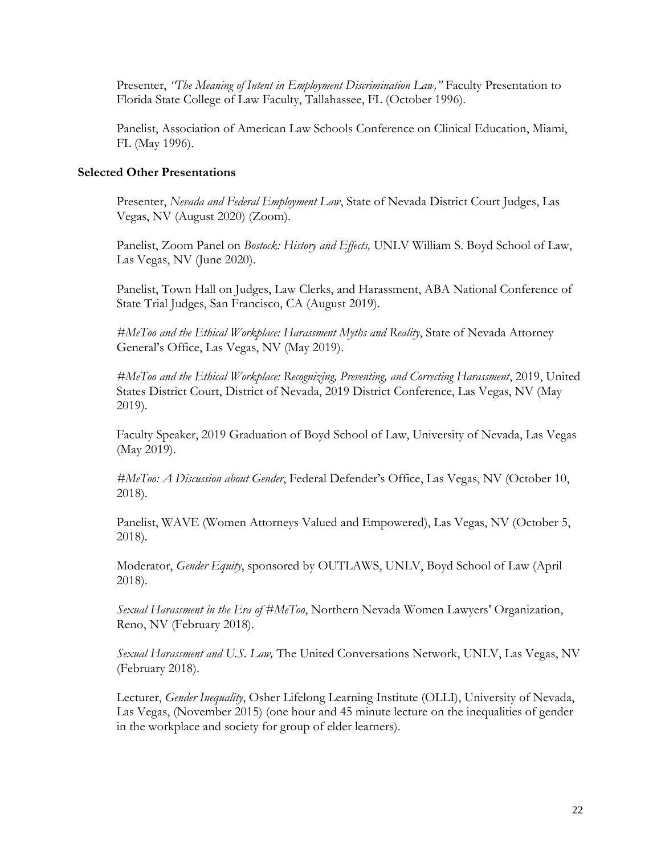Presenter, *'The Meaning of Intent in Employment Discrimination Law*," Faculty Presentation to Florida State College of Law Faculty, Tallahassee, FL (October 1996).

Panelist, Association of American Law Schools Conference on Clinical Education, Miami, FL (May 1996).

## **Selected Other Presentations**

Presenter, *Nevada and Federal Employment Law*, State of Nevada District Court Judges, Las Vegas, NV (August 2020) (Zoom).

Panelist, Zoom Panel on *Bostock: History and Effects,* UNLV William S. Boyd School of Law, Las Vegas, NV (June 2020).

Panelist, Town Hall on Judges, Law Clerks, and Harassment, ABA National Conference of State Trial Judges, San Francisco, CA (August 2019).

*#MeToo and the Ethical Workplace: Harassment Myths and Reality*, State of Nevada Attorney General's Office, Las Vegas, NV (May 2019).

*#MeToo and the Ethical Workplace: Recognizing, Preventing, and Correcting Harassment*, 2019, United States District Court, District of Nevada, 2019 District Conference, Las Vegas, NV (May 2019).

Faculty Speaker, 2019 Graduation of Boyd School of Law, University of Nevada, Las Vegas (May 2019).

*#MeToo: A Discussion about Gender*, Federal Defender's Office, Las Vegas, NV (October 10, 2018).

Panelist, WAVE (Women Attorneys Valued and Empowered), Las Vegas, NV (October 5, 2018).

Moderator, *Gender Equity*, sponsored by OUTLAWS, UNLV, Boyd School of Law (April 2018).

*Sexual Harassment in the Era of #MeToo*, Northern Nevada Women Lawyers' Organization, Reno, NV (February 2018).

*Sexual Harassment and U.S. Law,* The United Conversations Network, UNLV, Las Vegas, NV (February 2018).

Lecturer, *Gender Inequality*, Osher Lifelong Learning Institute (OLLI), University of Nevada, Las Vegas, (November 2015) (one hour and 45 minute lecture on the inequalities of gender in the workplace and society for group of elder learners).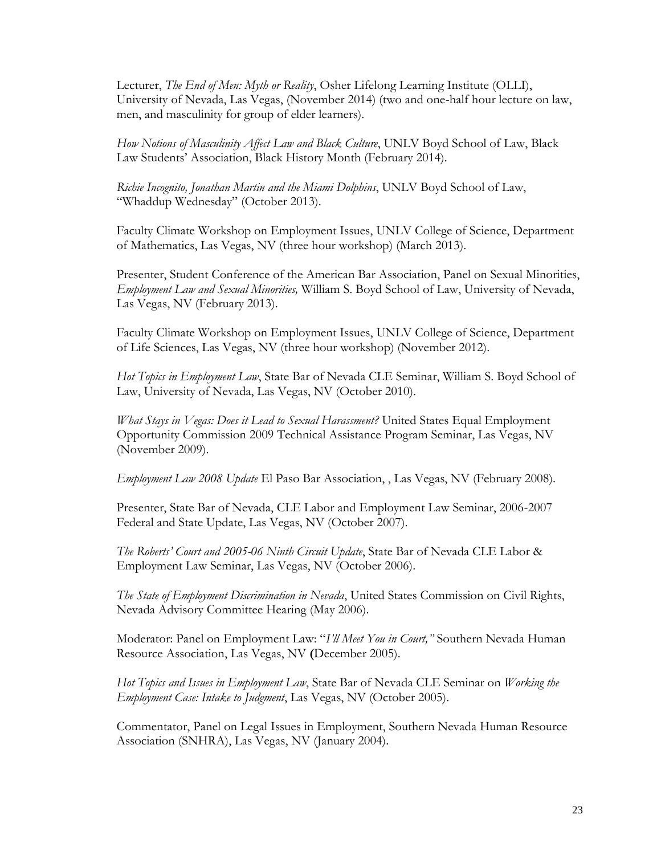Lecturer, *The End of Men: Myth or Reality*, Osher Lifelong Learning Institute (OLLI), University of Nevada, Las Vegas, (November 2014) (two and one-half hour lecture on law, men, and masculinity for group of elder learners).

*How Notions of Masculinity Affect Law and Black Culture*, UNLV Boyd School of Law, Black Law Students' Association, Black History Month (February 2014).

*Richie Incognito, Jonathan Martin and the Miami Dolphins*, UNLV Boyd School of Law, "Whaddup Wednesday" (October 2013).

Faculty Climate Workshop on Employment Issues, UNLV College of Science, Department of Mathematics, Las Vegas, NV (three hour workshop) (March 2013).

Presenter, Student Conference of the American Bar Association, Panel on Sexual Minorities, *Employment Law and Sexual Minorities,* William S. Boyd School of Law, University of Nevada, Las Vegas, NV (February 2013).

Faculty Climate Workshop on Employment Issues, UNLV College of Science, Department of Life Sciences, Las Vegas, NV (three hour workshop) (November 2012).

*Hot Topics in Employment Law*, State Bar of Nevada CLE Seminar, William S. Boyd School of Law, University of Nevada, Las Vegas, NV (October 2010).

*What Stays in Vegas: Does it Lead to Sexual Harassment?* United States Equal Employment Opportunity Commission 2009 Technical Assistance Program Seminar, Las Vegas, NV (November 2009).

*Employment Law 2008 Update* El Paso Bar Association, , Las Vegas, NV (February 2008).

Presenter, State Bar of Nevada, CLE Labor and Employment Law Seminar, 2006-2007 Federal and State Update, Las Vegas, NV (October 2007).

*The Roberts' Court and 2005-06 Ninth Circuit Update*, State Bar of Nevada CLE Labor & Employment Law Seminar, Las Vegas, NV (October 2006).

*The State of Employment Discrimination in Nevada*, United States Commission on Civil Rights, Nevada Advisory Committee Hearing (May 2006).

Moderator: Panel on Employment Law: "*I'll Meet You in Court,"* Southern Nevada Human Resource Association, Las Vegas, NV **(**December 2005).

*Hot Topics and Issues in Employment Law*, State Bar of Nevada CLE Seminar on *Working the Employment Case: Intake to Judgment*, Las Vegas, NV (October 2005).

Commentator, Panel on Legal Issues in Employment, Southern Nevada Human Resource Association (SNHRA), Las Vegas, NV (January 2004).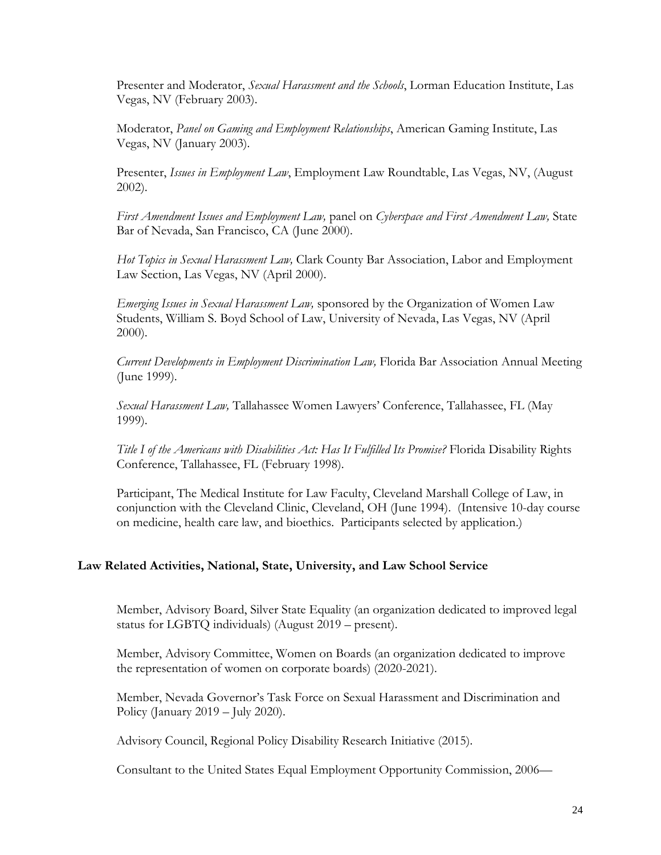Presenter and Moderator, *Sexual Harassment and the Schools*, Lorman Education Institute, Las Vegas, NV (February 2003).

Moderator, *Panel on Gaming and Employment Relationships*, American Gaming Institute, Las Vegas, NV (January 2003).

Presenter, *Issues in Employment Law*, Employment Law Roundtable, Las Vegas, NV, (August 2002).

*First Amendment Issues and Employment Law,* panel on *Cyberspace and First Amendment Law,* State Bar of Nevada, San Francisco, CA (June 2000).

*Hot Topics in Sexual Harassment Law,* Clark County Bar Association, Labor and Employment Law Section, Las Vegas, NV (April 2000).

*Emerging Issues in Sexual Harassment Law,* sponsored by the Organization of Women Law Students, William S. Boyd School of Law, University of Nevada, Las Vegas, NV (April 2000).

*Current Developments in Employment Discrimination Law,* Florida Bar Association Annual Meeting (June 1999).

*Sexual Harassment Law,* Tallahassee Women Lawyers' Conference, Tallahassee, FL (May 1999).

*Title I of the Americans with Disabilities Act: Has It Fulfilled Its Promise?* Florida Disability Rights Conference, Tallahassee, FL (February 1998).

Participant, The Medical Institute for Law Faculty, Cleveland Marshall College of Law, in conjunction with the Cleveland Clinic, Cleveland, OH (June 1994). (Intensive 10-day course on medicine, health care law, and bioethics. Participants selected by application.)

### **Law Related Activities, National, State, University, and Law School Service**

Member, Advisory Board, Silver State Equality (an organization dedicated to improved legal status for LGBTQ individuals) (August 2019 – present).

Member, Advisory Committee, Women on Boards (an organization dedicated to improve the representation of women on corporate boards) (2020-2021).

Member, Nevada Governor's Task Force on Sexual Harassment and Discrimination and Policy (January 2019 – July 2020).

Advisory Council, Regional Policy Disability Research Initiative (2015).

Consultant to the United States Equal Employment Opportunity Commission, 2006—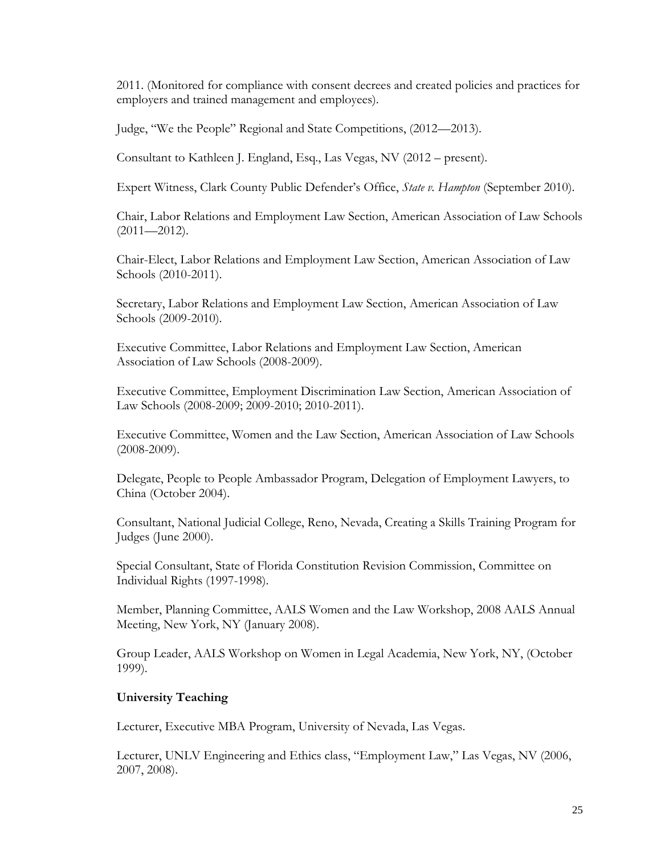2011. (Monitored for compliance with consent decrees and created policies and practices for employers and trained management and employees).

Judge, "We the People" Regional and State Competitions, (2012—2013).

Consultant to Kathleen J. England, Esq., Las Vegas, NV (2012 – present).

Expert Witness, Clark County Public Defender's Office, *State v. Hampton* (September 2010).

Chair, Labor Relations and Employment Law Section, American Association of Law Schools (2011—2012).

Chair-Elect, Labor Relations and Employment Law Section, American Association of Law Schools (2010-2011).

Secretary, Labor Relations and Employment Law Section, American Association of Law Schools (2009-2010).

Executive Committee, Labor Relations and Employment Law Section, American Association of Law Schools (2008-2009).

Executive Committee, Employment Discrimination Law Section, American Association of Law Schools (2008-2009; 2009-2010; 2010-2011).

Executive Committee, Women and the Law Section, American Association of Law Schools (2008-2009).

Delegate, People to People Ambassador Program, Delegation of Employment Lawyers, to China (October 2004).

Consultant, National Judicial College, Reno, Nevada, Creating a Skills Training Program for Judges (June 2000).

Special Consultant, State of Florida Constitution Revision Commission, Committee on Individual Rights (1997-1998).

Member, Planning Committee, AALS Women and the Law Workshop, 2008 AALS Annual Meeting, New York, NY (January 2008).

Group Leader, AALS Workshop on Women in Legal Academia, New York, NY, (October 1999).

### **University Teaching**

Lecturer, Executive MBA Program, University of Nevada, Las Vegas.

Lecturer, UNLV Engineering and Ethics class, "Employment Law," Las Vegas, NV (2006, 2007, 2008).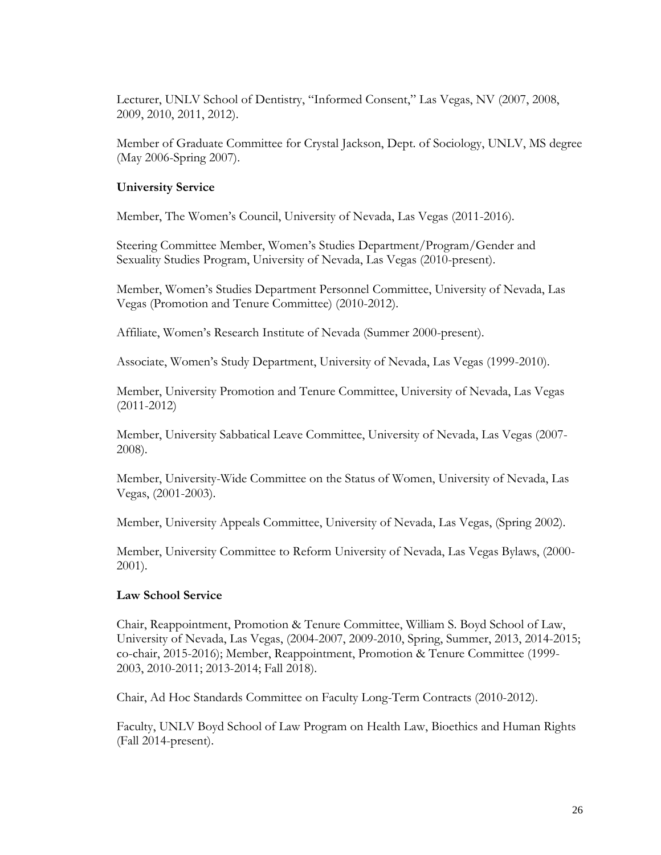Lecturer, UNLV School of Dentistry, "Informed Consent," Las Vegas, NV (2007, 2008, 2009, 2010, 2011, 2012).

Member of Graduate Committee for Crystal Jackson, Dept. of Sociology, UNLV, MS degree (May 2006-Spring 2007).

## **University Service**

Member, The Women's Council, University of Nevada, Las Vegas (2011-2016).

Steering Committee Member, Women's Studies Department/Program/Gender and Sexuality Studies Program, University of Nevada, Las Vegas (2010-present).

Member, Women's Studies Department Personnel Committee, University of Nevada, Las Vegas (Promotion and Tenure Committee) (2010-2012).

Affiliate, Women's Research Institute of Nevada (Summer 2000-present).

Associate, Women's Study Department, University of Nevada, Las Vegas (1999-2010).

Member, University Promotion and Tenure Committee, University of Nevada, Las Vegas (2011-2012)

Member, University Sabbatical Leave Committee, University of Nevada, Las Vegas (2007- 2008).

Member, University-Wide Committee on the Status of Women, University of Nevada, Las Vegas, (2001-2003).

Member, University Appeals Committee, University of Nevada, Las Vegas, (Spring 2002).

Member, University Committee to Reform University of Nevada, Las Vegas Bylaws, (2000- 2001).

### **Law School Service**

Chair, Reappointment, Promotion & Tenure Committee, William S. Boyd School of Law, University of Nevada, Las Vegas, (2004-2007, 2009-2010, Spring, Summer, 2013, 2014-2015; co-chair, 2015-2016); Member, Reappointment, Promotion & Tenure Committee (1999- 2003, 2010-2011; 2013-2014; Fall 2018).

Chair, Ad Hoc Standards Committee on Faculty Long-Term Contracts (2010-2012).

Faculty, UNLV Boyd School of Law Program on Health Law, Bioethics and Human Rights (Fall 2014-present).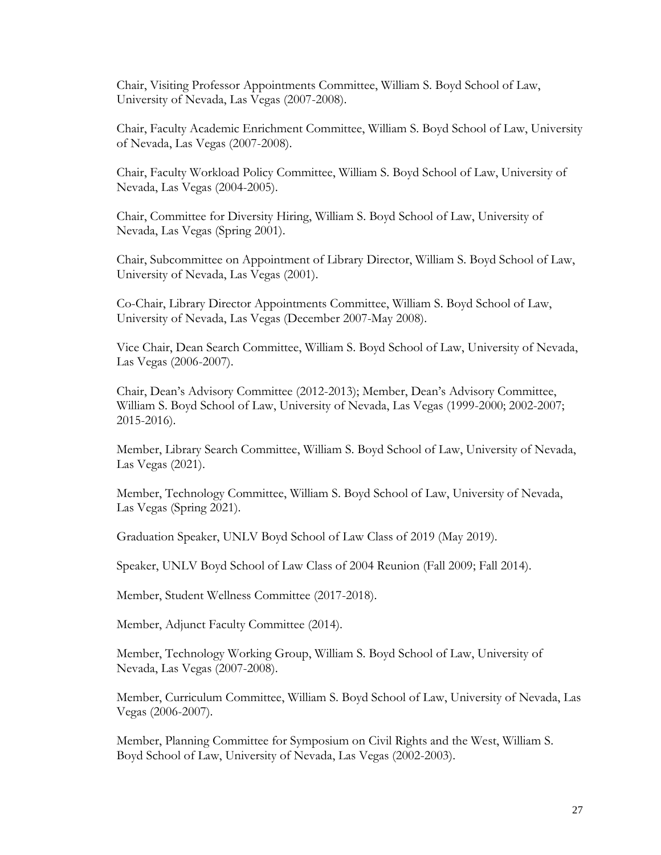Chair, Visiting Professor Appointments Committee, William S. Boyd School of Law, University of Nevada, Las Vegas (2007-2008).

Chair, Faculty Academic Enrichment Committee, William S. Boyd School of Law, University of Nevada, Las Vegas (2007-2008).

Chair, Faculty Workload Policy Committee, William S. Boyd School of Law, University of Nevada, Las Vegas (2004-2005).

Chair, Committee for Diversity Hiring, William S. Boyd School of Law, University of Nevada, Las Vegas (Spring 2001).

Chair, Subcommittee on Appointment of Library Director, William S. Boyd School of Law, University of Nevada, Las Vegas (2001).

Co-Chair, Library Director Appointments Committee, William S. Boyd School of Law, University of Nevada, Las Vegas (December 2007-May 2008).

Vice Chair, Dean Search Committee, William S. Boyd School of Law, University of Nevada, Las Vegas (2006-2007).

Chair, Dean's Advisory Committee (2012-2013); Member, Dean's Advisory Committee, William S. Boyd School of Law, University of Nevada, Las Vegas (1999-2000; 2002-2007; 2015-2016).

Member, Library Search Committee, William S. Boyd School of Law, University of Nevada, Las Vegas (2021).

Member, Technology Committee, William S. Boyd School of Law, University of Nevada, Las Vegas (Spring 2021).

Graduation Speaker, UNLV Boyd School of Law Class of 2019 (May 2019).

Speaker, UNLV Boyd School of Law Class of 2004 Reunion (Fall 2009; Fall 2014).

Member, Student Wellness Committee (2017-2018).

Member, Adjunct Faculty Committee (2014).

Member, Technology Working Group, William S. Boyd School of Law, University of Nevada, Las Vegas (2007-2008).

Member, Curriculum Committee, William S. Boyd School of Law, University of Nevada, Las Vegas (2006-2007).

Member, Planning Committee for Symposium on Civil Rights and the West, William S. Boyd School of Law, University of Nevada, Las Vegas (2002-2003).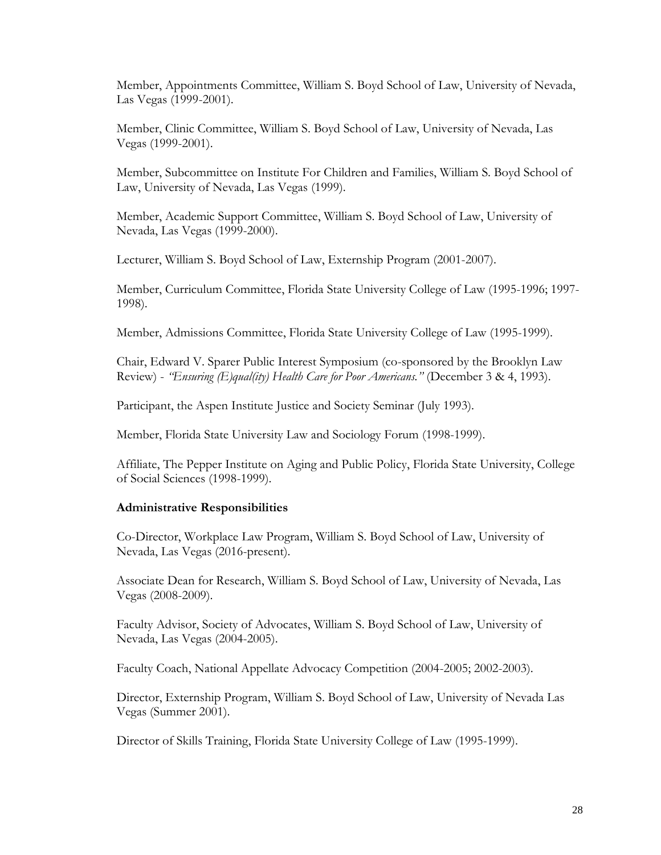Member, Appointments Committee, William S. Boyd School of Law, University of Nevada, Las Vegas (1999-2001).

Member, Clinic Committee, William S. Boyd School of Law, University of Nevada, Las Vegas (1999-2001).

Member, Subcommittee on Institute For Children and Families, William S. Boyd School of Law, University of Nevada, Las Vegas (1999).

Member, Academic Support Committee, William S. Boyd School of Law, University of Nevada, Las Vegas (1999-2000).

Lecturer, William S. Boyd School of Law, Externship Program (2001-2007).

Member, Curriculum Committee, Florida State University College of Law (1995-1996; 1997- 1998).

Member, Admissions Committee, Florida State University College of Law (1995-1999).

Chair, Edward V. Sparer Public Interest Symposium (co-sponsored by the Brooklyn Law Review) - *"Ensuring (E)qual(ity) Health Care for Poor Americans."* (December 3 & 4, 1993).

Participant, the Aspen Institute Justice and Society Seminar (July 1993).

Member, Florida State University Law and Sociology Forum (1998-1999).

Affiliate, The Pepper Institute on Aging and Public Policy, Florida State University, College of Social Sciences (1998-1999).

## **Administrative Responsibilities**

Co-Director, Workplace Law Program, William S. Boyd School of Law, University of Nevada, Las Vegas (2016-present).

Associate Dean for Research, William S. Boyd School of Law, University of Nevada, Las Vegas (2008-2009).

Faculty Advisor, Society of Advocates, William S. Boyd School of Law, University of Nevada, Las Vegas (2004-2005).

Faculty Coach, National Appellate Advocacy Competition (2004-2005; 2002-2003).

Director, Externship Program, William S. Boyd School of Law, University of Nevada Las Vegas (Summer 2001).

Director of Skills Training, Florida State University College of Law (1995-1999).